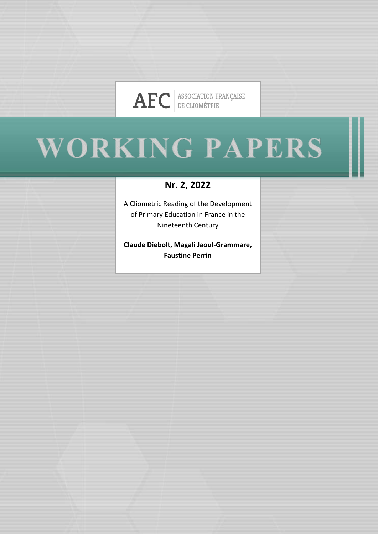

# **WORKING PAPERS**

# **Nr. 2, 2022**

A Cliometric Reading of the Development of Primary Education in France in the Nineteenth Century

**Claude Diebolt, Magali Jaoul-Grammare, Faustine Perrin**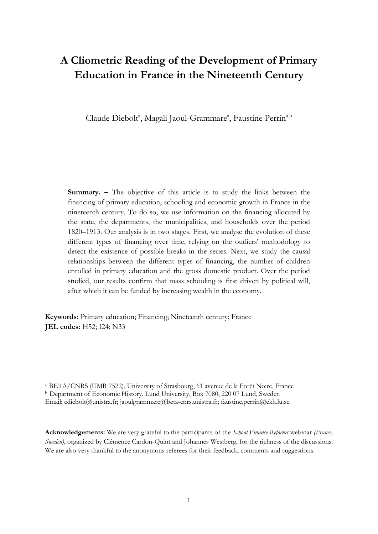# **A Cliometric Reading of the Development of Primary Education in France in the Nineteenth Century**

Claude Diebolt<sup>a</sup>, Magali Jaoul-Grammare<sup>a</sup>, Faustine Perrin<sup>a,b</sup>

**Summary. –** The objective of this article is to study the links between the financing of primary education, schooling and economic growth in France in the nineteenth century. To do so, we use information on the financing allocated by the state, the departments, the municipalities, and households over the period 1820–1913. Our analysis is in two stages. First, we analyse the evolution of these different types of financing over time, relying on the outliers' methodology to detect the existence of possible breaks in the series. Next, we study the causal relationships between the different types of financing, the number of children enrolled in primary education and the gross domestic product. Over the period studied, our results confirm that mass schooling is first driven by political will, after which it can be funded by increasing wealth in the economy.

**Keywords:** Primary education; Financing; Nineteenth century; France **JEL codes:** H52; I24; N33

a BETA/CNRS (UMR 7522), University of Strasbourg, 61 avenue de la Forêt Noire, France <sup>b</sup> Department of Economic History, Lund University, Box 7080, 220 07 Lund, Sweden Email: cdiebolt@unistra.fr; jaoulgrammare@beta-cnrs.unistra.fr; faustine.perrin@ekh.lu.se

**Acknowledgements:** We are very grateful to the participants of the *School Finance Reforms* webinar *(France, Sweden)*, organized by Clémence Cardon-Quint and Johannes Westberg, for the richness of the discussions. We are also very thankful to the anonymous referees for their feedback, comments and suggestions.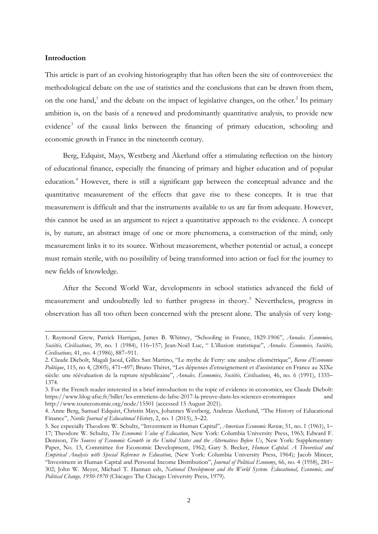#### **Introduction**

1

This article is part of an evolving historiography that has often been the site of controversies: the methodological debate on the use of statistics and the conclusions that can be drawn from them, on the one hand,<sup>[1](#page-2-0)</sup> and the debate on the impact of legislative changes, on the other.<sup>[2](#page-2-1)</sup> Its primary ambition is, on the basis of a renewed and predominantly quantitative analysis, to provide new evidence<sup>[3](#page-2-2)</sup> of the causal links between the financing of primary education, schooling and economic growth in France in the nineteenth century.

Berg, Edquist, Mays, Westberg and Åkerlund offer a stimulating reflection on the history of educational finance, especially the financing of primary and higher education and of popular education. [4](#page-2-3) However, there is still a significant gap between the conceptual advance and the quantitative measurement of the effects that gave rise to these concepts. It is true that measurement is difficult and that the instruments available to us are far from adequate. However, this cannot be used as an argument to reject a quantitative approach to the evidence. A concept is, by nature, an abstract image of one or more phenomena, a construction of the mind; only measurement links it to its source. Without measurement, whether potential or actual, a concept must remain sterile, with no possibility of being transformed into action or fuel for the journey to new fields of knowledge.

After the Second World War, developments in school statistics advanced the field of measurement and undoubtedly led to further progress in theory. [5](#page-2-4) Nevertheless, progress in observation has all too often been concerned with the present alone. The analysis of very long-

<span id="page-2-0"></span><sup>1.</sup> Raymond Grew, Patrick Harrigan, James B. Whitney, "Schooling in France, 1829-1906", *Annales. Économies, Sociétés, Civilisations*, 39, no. 1 (1984), 116–157; Jean-Noël Luc, " L'illusion statistique", *Annales. Économies, Sociétés, Civilisations,* 41, no. 4 (1986), 887–911.

<span id="page-2-1"></span><sup>2.</sup> Claude Diebolt, Magali Jaoul, Gilles San Martino, "Le mythe de Ferry: une analyse cliométrique", *Revue d'Economie Politique*, 115, no 4, (2005), 471–497; Bruno Théret, "Les dépenses d'enseignement et d'assistance en France au XIXe siècle: une réévaluation de la rupture républicaine", *Annales. Économies, Sociétés, Civilisations*, 46, no. 6 (1991), 1335– 1374.

<span id="page-2-2"></span><sup>3.</sup> For the French reader interested in a brief introduction to the topic of evidence in economics, see Claude Diebolt: https://www.blog-afse.fr/billet/les-entretiens-de-lafse-2017-la-preuve-dans-les-sciences-economiques and http://www.touteconomie.org/node/15501 (accessed 15 August 2021).

<span id="page-2-3"></span><sup>4.</sup> Anne Berg, Samuel Edquist, Christin Mays, Johannes Westberg, Andreas Åkerlund, "The History of Educational Finance", *Nordic Journal of Educational History*, 2, no. 1 (2015), 3–22.

<span id="page-2-4"></span><sup>5.</sup> See especially Theodore W. Schultz, "Investment in Human Capital", *American Economic Review*, 51, no. 1 (1961), 1– 17; Theodore W. Schultz, *The Economic Value of Education*, New York: Columbia University Press, 1963; Edward F. Denison, *The Sources of Economic Growth in the United States and the Alternatives Before Us*, New York: Supplementary Paper, No. 13, Committee for Economic Development, 1962; Gary S. Becker, *Human Capital. A Theoretical and Empirical Analysis with Special Reference to Education*, (New York: Columbia University Press, 1964); Jacob Mincer, "Investment in Human Capital and Personal Income Distribution", *Journal of Political Economy*, 66, no. 4 (1958), 281– 302; John W. Meyer, Michael T. Hannan eds, *National Development and the World System. Educational, Economic, and Political Change, 1950-1970* (Chicago: The Chicago University Press, 1979).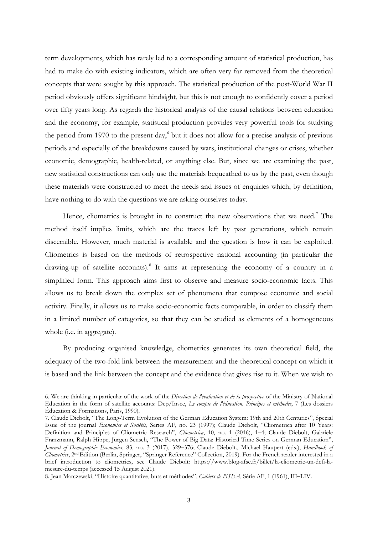term developments, which has rarely led to a corresponding amount of statistical production, has had to make do with existing indicators, which are often very far removed from the theoretical concepts that were sought by this approach. The statistical production of the post-World War II period obviously offers significant hindsight, but this is not enough to confidently cover a period over fifty years long. As regards the historical analysis of the causal relations between education and the economy, for example, statistical production provides very powerful tools for studying the period from 1970 to the present day, [6](#page-3-0) but it does not allow for a precise analysis of previous periods and especially of the breakdowns caused by wars, institutional changes or crises, whether economic, demographic, health-related, or anything else. But, since we are examining the past, new statistical constructions can only use the materials bequeathed to us by the past, even though these materials were constructed to meet the needs and issues of enquiries which, by definition, have nothing to do with the questions we are asking ourselves today.

Hence, cliometrics is brought in to construct the new observations that we need.<sup>[7](#page-3-1)</sup> The method itself implies limits, which are the traces left by past generations, which remain discernible. However, much material is available and the question is how it can be exploited. Cliometrics is based on the methods of retrospective national accounting (in particular the drawing-up of satellite accounts). [8](#page-3-2) It aims at representing the economy of a country in a simplified form. This approach aims first to observe and measure socio-economic facts. This allows us to break down the complex set of phenomena that compose economic and social activity. Finally, it allows us to make socio-economic facts comparable, in order to classify them in a limited number of categories, so that they can be studied as elements of a homogeneous whole (i.e. in aggregate).

By producing organised knowledge, cliometrics generates its own theoretical field, the adequacy of the two-fold link between the measurement and the theoretical concept on which it is based and the link between the concept and the evidence that gives rise to it. When we wish to

<span id="page-3-0"></span><sup>6.</sup> We are thinking in particular of the work of the *Direction de l'évaluation et de la prospective* of the Ministry of National Education in the form of satellite accounts: Dep/Insee, *Le compte de l'éducation. Principes et méthodes*, 7 (Les dossiers Éducation & Formations, Paris, 1990).

<span id="page-3-1"></span><sup>7.</sup> Claude Diebolt, "The Long-Term Evolution of the German Education System: 19th and 20th Centuries", Special Issue of the journal *Economies et Sociétés*, Series AF, no. 23 (1997); Claude Diebolt, "Cliometrica after 10 Years: Definition and Principles of Cliometric Research", *Cliometrica*, 10, no. 1 (2016), 1–4; Claude Diebolt, Gabriele Franzmann, Ralph Hippe, Jürgen Sensch, "The Power of Big Data: Historical Time Series on German Education", *Journal of Demographic Economics*, 83, no. 3 (2017), 329–376; Claude Diebolt., Michael Haupert (eds.), *Handbook of Cliometrics*, 2nd Edition (Berlin, Springer, "Springer Reference" Collection, 2019). For the French reader interested in a brief introduction to cliometrics, see Claude Diebolt: https://www.blog-afse.fr/billet/la-cliometrie-un-defi-lamesure-du-temps (accessed 15 August 2021).

<span id="page-3-2"></span><sup>8.</sup> Jean Marczewski, "Histoire quantitative, buts et méthodes", *Cahiers de l'ISEA*, Série AF, 1 (1961), III–LIV.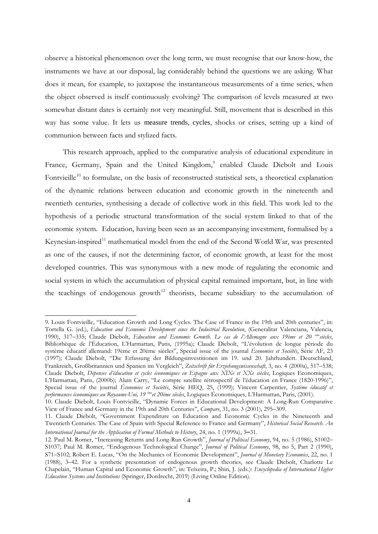observe a historical phenomenon over the long term, we must recognise that our know-how, the instruments we have at our disposal, lag considerably behind the questions we are asking. What does it mean, for example, to juxtapose the instantaneous measurements of a time series, when the object observed is itself continuously evolving? The comparison of levels measured at two somewhat distant dates is certainly not very meaningful. Still, movement that is described in this way has some value. It lets us measure trends, cycles, shocks or crises, setting up a kind of communion between facts and stylized facts.

This research approach, applied to the comparative analysis of educational expenditure in France, Germany, Spain and the United Kingdom,<sup>[9](#page-4-0)</sup> enabled Claude Diebolt and Louis Fontvieille<sup>[10](#page-4-1)</sup> to formulate, on the basis of reconstructed statistical sets, a theoretical explanation of the dynamic relations between education and economic growth in the nineteenth and twentieth centuries, synthesising a decade of collective work in this field. This work led to the hypothesis of a periodic structural transformation of the social system linked to that of the economic system. Education, having been seen as an accompanying investment, formalised by a Keynesian-inspired<sup>[11](#page-4-2)</sup> mathematical model from the end of the Second World War, was presented as one of the causes, if not the determining factor, of economic growth, at least for the most developed countries. This was synonymous with a new mode of regulating the economic and social system in which the accumulation of physical capital remained important, but, in line with the teachings of endogenous growth<sup>[12](#page-4-3)</sup> theorists, became subsidiary to the accumulation of

1

<span id="page-4-0"></span><sup>9.</sup> Louis Fontvieille, "Education Growth and Long Cycles. The Case of France in the 19th and 20th centuries", in: Tortella G. (ed.), *Education and Economic Development since the Industrial Revolution*, (Generalitat Valenciana, Valencia, 1990), 317–335; Claude Diebolt, *Education and Economic Growth. Le cas de l'Allemagne aux 19ème et 20 èmesiècles*, Bibliothèque de l'Éducation, L'Harmattan, Paris, (1995a); Claude Diebolt, "L'évolution de longue période du système éducatif allemand: 19ème et 20ème siècles", Special issue of the journal *Économies et Sociétés*, Série AF, 23 (1997); Claude Diebolt, "Die Erfassung der Bildungsinvestitionen im 19. und 20. Jahrhundert. Deutschland, Frankreich, Großbritannien und Spanien im Vergleich", *Zeitschrift für Erziehungswissenschaft*, 3, no. 4 (2000a), 517–538; Claude Diebolt, *Dépenses d'éducation et cycles économiques en Espagne aux XIXe et XXe siècles*, Logiques Economiques, L'Harmattan, Paris, (2000b); Alain Carry, "Le compte satellite rétrospectif de l'éducation en France (1820-1996)", Special issue of the journal *Économies et Sociétés*, Série HEQ, 25, (1999); Vincent Carpentier, *Système éducatif et performances économiques au Royaume-Uni, 19 èmeet 20ème siècles*, Logiques Économiques, L'Harmattan, Paris, (2001).

<span id="page-4-1"></span><sup>10.</sup> Claude Diebolt, Louis Fontvieille, "Dynamic Forces in Educational Development: A Long-Run Comparative View of France and Germany in the 19th and 20th Centuries", *Compare*, 31, no. 3 (2001), 295–309.

<span id="page-4-2"></span><sup>11.</sup> Claude Diebolt, "Government Expenditure on Education and Economic Cycles in the Nineteenth and Twentieth Centuries. The Case of Spain with Special Reference to France and Germany", *Historical Social Research. An International Journal for the Application of Formal Methods to History*, 24, no. 1 (1999a), 3**–**31.

<span id="page-4-3"></span><sup>12.</sup> Paul M. Romer, "Increasing Returns and Long-Run Growth", *Journal of Political Economy*, 94, no. 5 (1986), S1002– S1037; Paul M. Romer, "Endogenous Technological Change", *Journal of Political Economy*, 98, no 5, Part 2 (1990), S71–S102; Robert E. Lucas, "On the Mechanics of Economic Development", *Journal of Monetary Economics*, 22, no. 1 (1988), 3–42. For a synthetic presentation of endogenous growth theories, see Claude Diebolt, Charlotte Le Chapelain, "Human Capital and Economic Growth", in: Teixeira, P.; Shin, J. (eds.): *Encyclopedia of International Higher Education Systems and Institutions* (Springer, Dordrecht, 2019) (Living Online Edition).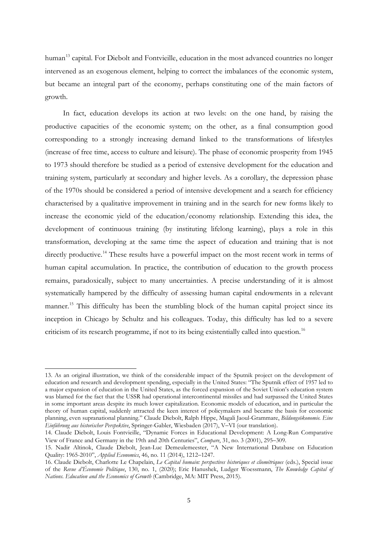human<sup>[13](#page-5-0)</sup> capital. For Diebolt and Fontvieille, education in the most advanced countries no longer intervened as an exogenous element, helping to correct the imbalances of the economic system, but became an integral part of the economy, perhaps constituting one of the main factors of growth.

In fact, education develops its action at two levels: on the one hand, by raising the productive capacities of the economic system; on the other, as a final consumption good corresponding to a strongly increasing demand linked to the transformations of lifestyles (increase of free time, access to culture and leisure). The phase of economic prosperity from 1945 to 1973 should therefore be studied as a period of extensive development for the education and training system, particularly at secondary and higher levels. As a corollary, the depression phase of the 1970s should be considered a period of intensive development and a search for efficiency characterised by a qualitative improvement in training and in the search for new forms likely to increase the economic yield of the education/economy relationship. Extending this idea, the development of continuous training (by instituting lifelong learning), plays a role in this transformation, developing at the same time the aspect of education and training that is not directly productive.<sup>[14](#page-5-1)</sup> These results have a powerful impact on the most recent work in terms of human capital accumulation. In practice, the contribution of education to the growth process remains, paradoxically, subject to many uncertainties. A precise understanding of it is almost systematically hampered by the difficulty of assessing human capital endowments in a relevant manner.<sup>[15](#page-5-2)</sup> This difficulty has been the stumbling block of the human capital project since its inception in Chicago by Schultz and his colleagues. Today, this difficulty has led to a severe criticism of its research programme, if not to its being existentially called into question.<sup>[16](#page-5-3)</sup>

<span id="page-5-0"></span><sup>13.</sup> As an original illustration, we think of the considerable impact of the Sputnik project on the development of education and research and development spending, especially in the United States: "The Sputnik effect of 1957 led to a major expansion of education in the United States, as the forced expansion of the Soviet Union's education system was blamed for the fact that the USSR had operational intercontinental missiles and had surpassed the United States in some important areas despite its much lower capitalization. Economic models of education, and in particular the theory of human capital, suddenly attracted the keen interest of policymakers and became the basis for economic planning, even supranational planning." Claude Diebolt, Ralph Hippe, Magali Jaoul-Grammare, *Bildungsökonomie. Eine Einführung aus historischer Perspektive*, Springer-Gabler, Wiesbaden (2017), V–VI (our translation).

<span id="page-5-1"></span><sup>14.</sup> Claude Diebolt, Louis Fontvieille, "Dynamic Forces in Educational Development: A Long-Run Comparative View of France and Germany in the 19th and 20th Centuries", *Compare*, 31, no. 3 (2001), 295–309.

<span id="page-5-2"></span><sup>15.</sup> Nadir Altinok, Claude Diebolt, Jean-Luc Demeulemeester, "A New International Database on Education Quality: 1965-2010", *Applied Economics*, 46, no. 11 (2014), 1212–1247.

<span id="page-5-3"></span><sup>16.</sup> Claude Diebolt, Charlotte Le Chapelain, *Le Capital humain: perspectives historiques et cliométriques* (eds.), Special issue of the *Revue d'Économie Politique*, 130, no. 1, (2020); Eric Hanushek, Ludger Woessmann, *The Knowledge Capital of Nations. Education and the Economics of Growth* (Cambridge, MA: MIT Press, 2015).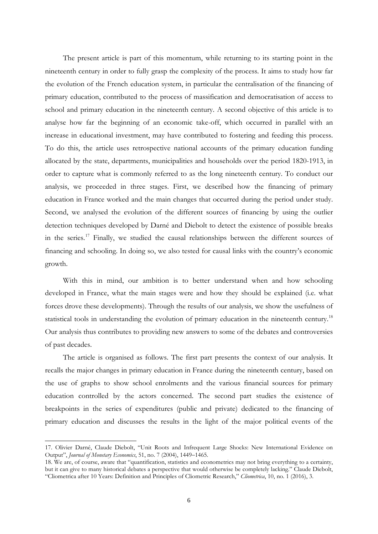The present article is part of this momentum, while returning to its starting point in the nineteenth century in order to fully grasp the complexity of the process. It aims to study how far the evolution of the French education system, in particular the centralisation of the financing of primary education, contributed to the process of massification and democratisation of access to school and primary education in the nineteenth century. A second objective of this article is to analyse how far the beginning of an economic take-off, which occurred in parallel with an increase in educational investment, may have contributed to fostering and feeding this process. To do this, the article uses retrospective national accounts of the primary education funding allocated by the state, departments, municipalities and households over the period 1820-1913, in order to capture what is commonly referred to as the long nineteenth century. To conduct our analysis, we proceeded in three stages. First, we described how the financing of primary education in France worked and the main changes that occurred during the period under study. Second, we analysed the evolution of the different sources of financing by using the outlier detection techniques developed by Darné and Diebolt to detect the existence of possible breaks in the series.<sup>[17](#page-6-0)</sup> Finally, we studied the causal relationships between the different sources of financing and schooling. In doing so, we also tested for causal links with the country's economic growth.

With this in mind, our ambition is to better understand when and how schooling developed in France, what the main stages were and how they should be explained (i.e. what forces drove these developments). Through the results of our analysis, we show the usefulness of statistical tools in understanding the evolution of primary education in the nineteenth century.<sup>[18](#page-6-1)</sup> Our analysis thus contributes to providing new answers to some of the debates and controversies of past decades.

The article is organised as follows. The first part presents the context of our analysis. It recalls the major changes in primary education in France during the nineteenth century, based on the use of graphs to show school enrolments and the various financial sources for primary education controlled by the actors concerned. The second part studies the existence of breakpoints in the series of expenditures (public and private) dedicated to the financing of primary education and discusses the results in the light of the major political events of the

<span id="page-6-0"></span><sup>17.</sup> Olivier Darné, Claude Diebolt, "Unit Roots and Infrequent Large Shocks: New International Evidence on Output", *Journal of Monetary Economics*, 51, no. 7 (2004), 1449–1465.

<span id="page-6-1"></span><sup>18.</sup> We are, of course, aware that "quantification, statistics and econometrics may not bring everything to a certainty, but it can give to many historical debates a perspective that would otherwise be completely lacking." Claude Diebolt, "Cliometrica after 10 Years: Definition and Principles of Cliometric Research," *Cliometrica*, 10, no. 1 (2016), 3.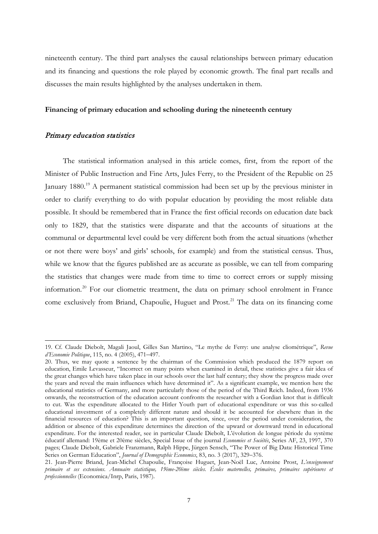nineteenth century. The third part analyses the causal relationships between primary education and its financing and questions the role played by economic growth. The final part recalls and discusses the main results highlighted by the analyses undertaken in them.

#### **Financing of primary education and schooling during the nineteenth century**

#### Primary education statistics

-

The statistical information analysed in this article comes, first, from the report of the Minister of Public Instruction and Fine Arts, Jules Ferry, to the President of the Republic on 25 January 1880.<sup>[19](#page-7-0)</sup> A permanent statistical commission had been set up by the previous minister in order to clarify everything to do with popular education by providing the most reliable data possible. It should be remembered that in France the first official records on education date back only to 1829, that the statistics were disparate and that the accounts of situations at the communal or departmental level could be very different both from the actual situations (whether or not there were boys' and girls' schools, for example) and from the statistical census. Thus, while we know that the figures published are as accurate as possible, we can tell from comparing the statistics that changes were made from time to time to correct errors or supply missing information.<sup>[20](#page-7-1)</sup> For our cliometric treatment, the data on primary school enrolment in France come exclusively from Briand, Chapoulie, Huguet and Prost.<sup>[21](#page-7-2)</sup> The data on its financing come

<span id="page-7-0"></span><sup>19.</sup> Cf. Claude Diebolt, Magali Jaoul, Gilles San Martino, "Le mythe de Ferry: une analyse cliométrique", *Revue d'Economie Politique*, 115, no. 4 (2005), 471–497.

<span id="page-7-1"></span><sup>20.</sup> Thus, we may quote a sentence by the chairman of the Commission which produced the 1879 report on education, Emile Levasseur, "Incorrect on many points when examined in detail, these statistics give a fair idea of the great changes which have taken place in our schools over the last half century; they show the progress made over the years and reveal the main influences which have determined it". As a significant example, we mention here the educational statistics of Germany, and more particularly those of the period of the Third Reich. Indeed, from 1936 onwards, the reconstruction of the education account confronts the researcher with a Gordian knot that is difficult to cut. Was the expenditure allocated to the Hitler Youth part of educational expenditure or was this so-called educational investment of a completely different nature and should it be accounted for elsewhere than in the financial resources of education? This is an important question, since, over the period under consideration, the addition or absence of this expenditure determines the direction of the upward or downward trend in educational expenditure. For the interested reader, see in particular Claude Diebolt, L'évolution de longue période du système éducatif allemand: 19ème et 20ème siècles, Special Issue of the journal *Economies et Sociétés*, Series AF, 23, 1997, 370 pages; Claude Diebolt, Gabriele Franzmann, Ralph Hippe, Jürgen Sensch, "The Power of Big Data: Historical Time Series on German Education", *Journal of Demographic Economics*, 83, no. 3 (2017), 329–376.

<span id="page-7-2"></span><sup>21.</sup> Jean-Pierre Briand, Jean-Michel Chapoulie, Françoise Huguet, Jean-Noël Luc, Antoine Prost, *L'enseignement primaire et ses extensions. Annuaire statistique, 19ème-20ème siècles. Écoles maternelles, primaires, primaires supérieures et professionnelles* (Economica/Inrp, Paris, 1987).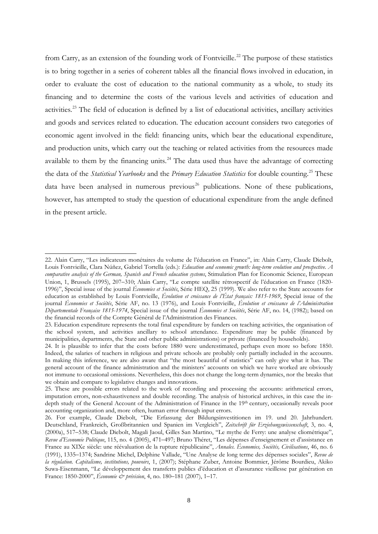from Carry, as an extension of the founding work of Fontvieille.<sup>[22](#page-8-0)</sup> The purpose of these statistics is to bring together in a series of coherent tables all the financial flows involved in education, in order to evaluate the cost of education to the national community as a whole, to study its financing and to determine the costs of the various levels and activities of education and activities.<sup>[23](#page-8-1)</sup> The field of education is defined by a list of educational activities, ancillary activities and goods and services related to education. The education account considers two categories of economic agent involved in the field: financing units, which bear the educational expenditure, and production units, which carry out the teaching or related activities from the resources made available to them by the financing units. $^{24}$  $^{24}$  $^{24}$  The data used thus have the advantage of correcting the data of the *Statistical Yearbooks* and the *Primary Education Statistics* for double counting. [25](#page-8-3) These data have been analysed in numerous previous<sup>[26](#page-8-4)</sup> publications. None of these publications, however, has attempted to study the question of educational expenditure from the angle defined in the present article.

<span id="page-8-0"></span><sup>22.</sup> Alain Carry, "Les indicateurs monétaires du volume de l'éducation en France", in: Alain Carry, Claude Diebolt, Louis Fontvieille, Clara Núñez, Gabriel Tortella (eds.): *Education and economic growth: long-term evolution and prospective. A comparative analysis of the German, Spanish and French education systems*, Stimulation Plan for Economic Science, European Union, 1, Brussels (1995), 207–310; Alain Carry, "Le compte satellite rétrospectif de l'éducation en France (1820- 1996)", Special issue of the journal *Économies et Sociétés*, Série HEQ, 25 (1999). We also refer to the State accounts for education as established by Louis Fontvieille, *Évolution et croissance de l'État français: 1815-1969*, Special issue of the journal *Économies et Sociétés*, Série AF, no. 13 (1976), and Louis Fontvieille, *Évolution et croissance de l'Administration Départementale Française 1815-1974*, Special issue of the journal *Économies et Sociétés*, Série AF, no. 14, (1982); based on the financial records of the Compte Général de l'Administration des Finances.

<span id="page-8-1"></span><sup>23.</sup> Education expenditure represents the total final expenditure by funders on teaching activities, the organisation of the school system, and activities ancillary to school attendance. Expenditure may be public (financed by municipalities, departments, the State and other public administrations) or private (financed by households).

<span id="page-8-2"></span><sup>24.</sup> It is plausible to infer that the costs before 1880 were underestimated, perhaps even more so before 1850. Indeed, the salaries of teachers in religious and private schools are probably only partially included in the accounts. In making this inference, we are also aware that "the most beautiful of statistics" can only give what it has. The general account of the finance administration and the ministers' accounts on which we have worked are obviously not immune to occasional omissions. Nevertheless, this does not change the long-term dynamics, nor the breaks that we obtain and compare to legislative changes and innovations.

<span id="page-8-3"></span><sup>25.</sup> These are possible errors related to the work of recording and processing the accounts: arithmetical errors, imputation errors, non-exhaustiveness and double recording. The analysis of historical archives, in this case the indepth study of the General Account of the Administration of Finance in the 19th century, occasionally reveals poor accounting organization and, more often, human error through input errors.

<span id="page-8-4"></span><sup>26.</sup> For example, Claude Diebolt, "Die Erfassung der Bildungsinvestitionen im 19. und 20. Jahrhundert. Deutschland, Frankreich, Großbritannien und Spanien im Vergleich", *Zeitschrift für Erziehungswissenschaft*, 3, no. 4, (2000a), 517–538; Claude Diebolt, Magali Jaoul, Gilles San Martino, "Le mythe de Ferry: une analyse cliométrique", *Revue d'Economie Politique*, 115, no. 4 (2005), 471–497; Bruno Théret, "Les dépenses d'enseignement et d'assistance en France au XIXe siècle: une réévaluation de la rupture républicaine", *Annales. Économies, Sociétés, Civilisations*, 46, no. 6 (1991), 1335–1374; Sandrine Michel, Delphine Vallade, "Une Analyse de long terme des dépenses sociales", *Revue de la régulation. Capitalisme, institutions, pouvoirs*, 1, (2007); Stéphane Zuber, Antoine Bommier, Jérôme Bourdieu, Akiko Suwa-Eisenmann, "Le développement des transferts publics d'éducation et d'assurance vieillesse par génération en France: 1850-2000", *Économie & prévision*, 4, no. 180–181 (2007), 1–17.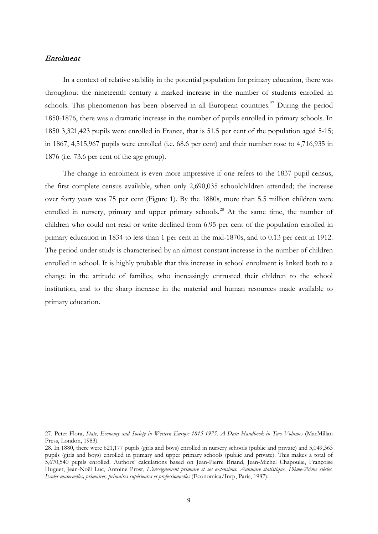#### Enrolment

-

In a context of relative stability in the potential population for primary education, there was throughout the nineteenth century a marked increase in the number of students enrolled in schools. This phenomenon has been observed in all European countries.<sup>[27](#page-9-0)</sup> During the period 1850-1876, there was a dramatic increase in the number of pupils enrolled in primary schools. In 1850 3,321,423 pupils were enrolled in France, that is 51.5 per cent of the population aged 5-15; in 1867, 4,515,967 pupils were enrolled (i.e. 68.6 per cent) and their number rose to 4,716,935 in 1876 (i.e. 73.6 per cent of the age group).

The change in enrolment is even more impressive if one refers to the 1837 pupil census, the first complete census available, when only 2,690,035 schoolchildren attended; the increase over forty years was 75 per cent (Figure 1). By the 1880s, more than 5.5 million children were enrolled in nursery, primary and upper primary schools.<sup>[28](#page-9-1)</sup> At the same time, the number of children who could not read or write declined from 6.95 per cent of the population enrolled in primary education in 1834 to less than 1 per cent in the mid-1870s, and to 0.13 per cent in 1912. The period under study is characterised by an almost constant increase in the number of children enrolled in school. It is highly probable that this increase in school enrolment is linked both to a change in the attitude of families, who increasingly entrusted their children to the school institution, and to the sharp increase in the material and human resources made available to primary education.

<span id="page-9-0"></span><sup>27.</sup> Peter Flora, *State, Economy and Society in Western Europe 1815-1975. A Data Handbook in Two Volumes* (MacMillan Press, London, 1983).

<span id="page-9-1"></span><sup>28.</sup> In 1880, there were 621,177 pupils (girls and boys) enrolled in nursery schools (public and private) and 5,049,363 pupils (girls and boys) enrolled in primary and upper primary schools (public and private). This makes a total of 5,670,540 pupils enrolled. Authors' calculations based on Jean-Pierre Briand, Jean-Michel Chapoulie, Françoise Huguet, Jean-Noël Luc, Antoine Prost, *L'enseignement primaire et ses extensions. Annuaire statistique, 19ème-20ème siècles. Ecoles maternelles, primaires, primaires supérieures et professionnelles* (Economica/Inrp, Paris, 1987).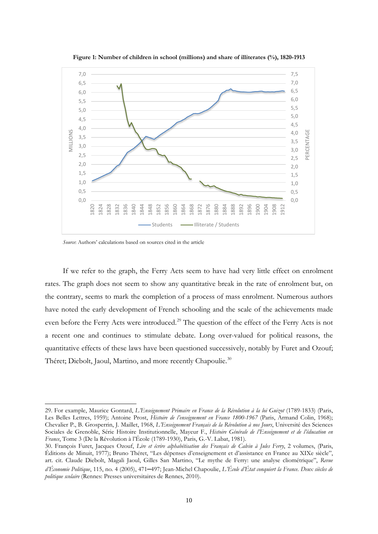

**Figure 1: Number of children in school (millions) and share of illiterates (%), 1820-1913**

*Source*: Authors' calculations based on sources cited in the article

-

If we refer to the graph, the Ferry Acts seem to have had very little effect on enrolment rates. The graph does not seem to show any quantitative break in the rate of enrolment but, on the contrary, seems to mark the completion of a process of mass enrolment. Numerous authors have noted the early development of French schooling and the scale of the achievements made even before the Ferry Acts were introduced.<sup>[29](#page-10-0)</sup> The question of the effect of the Ferry Acts is not a recent one and continues to stimulate debate. Long over-valued for political reasons, the quantitative effects of these laws have been questioned successively, notably by Furet and Ozouf; Théret; Diebolt, Jaoul, Martino, and more recently Chapoulie.<sup>[30](#page-10-1)</sup>

<span id="page-10-0"></span><sup>29.</sup> For example, Maurice Gontard, *L'Enseignement Primaire en France de la Révolution à la loi Guizot* (1789-1833) (Paris, Les Belles Lettres, 1959); Antoine Prost, *Histoire de l'enseignement en France 1800-1967* (Paris, Armand Colin, 1968); Chevalier P., B. Grosperrin, J. Maillet, 1968, *L'Enseignement Français de la Révolution à nos Jours*, Université des Sciences Sociales de Grenoble, Série Histoire Institutionnelle, Mayeur F., *Histoire Générale de l'Enseignement et de l'éducation en France*, Tome 3 (De la Révolution à l'École (1789-1930), Paris, G.-V. Labat, 1981).

<span id="page-10-1"></span><sup>30.</sup> François Furet, Jacques Ozouf, *Lire et écrire alphabétisation des Français de Calvin à Jules Ferry*, 2 volumes, (Paris, Éditions de Minuit, 1977); Bruno Théret, "Les dépenses d'enseignement et d'assistance en France au XIXe siècle", art. cit. Claude Diebolt, Magali Jaoul, Gilles San Martino, "Le mythe de Ferry: une analyse cliométrique", *Revue d'Économie Politique*, 115, no. 4 (2005), 471**–**497; Jean-Michel Chapoulie, *L'École d'État conquiert la France. Deux siècles de politique scolaire* (Rennes: Presses universitaires de Rennes, 2010).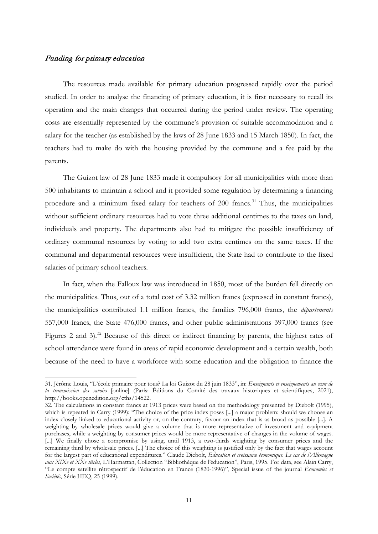#### Funding for primary education

-

The resources made available for primary education progressed rapidly over the period studied. In order to analyse the financing of primary education, it is first necessary to recall its operation and the main changes that occurred during the period under review. The operating costs are essentially represented by the commune's provision of suitable accommodation and a salary for the teacher (as established by the laws of 28 June 1833 and 15 March 1850). In fact, the teachers had to make do with the housing provided by the commune and a fee paid by the parents.

The Guizot law of 28 June 1833 made it compulsory for all municipalities with more than 500 inhabitants to maintain a school and it provided some regulation by determining a financing procedure and a minimum fixed salary for teachers of 200 francs.<sup>[31](#page-11-0)</sup> Thus, the municipalities without sufficient ordinary resources had to vote three additional centimes to the taxes on land, individuals and property. The departments also had to mitigate the possible insufficiency of ordinary communal resources by voting to add two extra centimes on the same taxes. If the communal and departmental resources were insufficient, the State had to contribute to the fixed salaries of primary school teachers.

In fact, when the Falloux law was introduced in 1850, most of the burden fell directly on the municipalities. Thus, out of a total cost of 3.32 million francs (expressed in constant francs), the municipalities contributed 1.1 million francs, the families 796,000 francs, the *départements* 557,000 francs, the State 476,000 francs, and other public administrations 397,000 francs (see Figures 2 and 3).<sup>[32](#page-11-1)</sup> Because of this direct or indirect financing by parents, the highest rates of school attendance were found in areas of rapid economic development and a certain wealth, both because of the need to have a workforce with some education and the obligation to finance the

<span id="page-11-0"></span><sup>31.</sup> Jérôme Louis, "L'école primaire pour tous? La loi Guizot du 28 juin 1833", in: *Enseignants et enseignements au cœur de la transmission des savoirs* [online] (Paris: Éditions du Comité des travaux historiques et scientifiques, 2021), http://books.openedition.org/cths/14522.

<span id="page-11-1"></span><sup>32.</sup> The calculations in constant francs at 1913 prices were based on the methodology presented by Diebolt (1995), which is repeated in Carry (1999): "The choice of the price index poses [...] a major problem: should we choose an index closely linked to educational activity or, on the contrary, favour an index that is as broad as possible [...]. A weighting by wholesale prices would give a volume that is more representative of investment and equipment purchases, while a weighting by consumer prices would be more representative of changes in the volume of wages. [...] We finally chose a compromise by using, until 1913, a two-thirds weighting by consumer prices and the remaining third by wholesale prices. [...] The choice of this weighting is justified only by the fact that wages account for the largest part of educational expenditures." Claude Diebolt, *Education et croissance économique. Le cas de l'Allemagne aux XIXe et XXe siècles*, L'Harmattan, Collection "Bibliothèque de l'éducation", Paris, 1995. For data, see Alain Carry, "Le compte satellite rétrospectif de l'éducation en France (1820-1996)", Special issue of the journal *Économies et Sociétés*, Série HEQ, 25 (1999).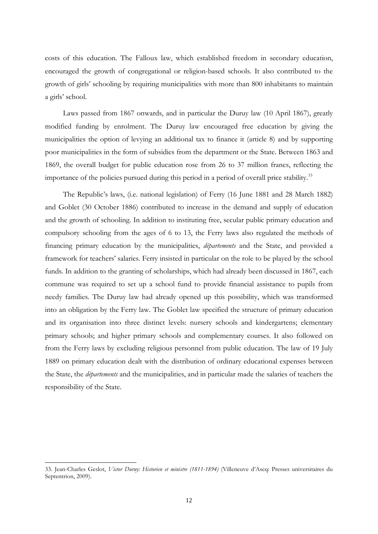costs of this education. The Falloux law, which established freedom in secondary education, encouraged the growth of congregational or religion-based schools. It also contributed to the growth of girls' schooling by requiring municipalities with more than 800 inhabitants to maintain a girls' school.

Laws passed from 1867 onwards, and in particular the Duruy law (10 April 1867), greatly modified funding by enrolment. The Duruy law encouraged free education by giving the municipalities the option of levying an additional tax to finance it (article 8) and by supporting poor municipalities in the form of subsidies from the department or the State. Between 1863 and 1869, the overall budget for public education rose from 26 to 37 million francs, reflecting the importance of the policies pursued during this period in a period of overall price stability.<sup>[33](#page-12-0)</sup>

The Republic's laws, (i.e. national legislation) of Ferry (16 June 1881 and 28 March 1882) and Goblet (30 October 1886) contributed to increase in the demand and supply of education and the growth of schooling. In addition to instituting free, secular public primary education and compulsory schooling from the ages of 6 to 13, the Ferry laws also regulated the methods of financing primary education by the municipalities, *départements* and the State, and provided a framework for teachers' salaries. Ferry insisted in particular on the role to be played by the school funds. In addition to the granting of scholarships, which had already been discussed in 1867, each commune was required to set up a school fund to provide financial assistance to pupils from needy families. The Duruy law had already opened up this possibility, which was transformed into an obligation by the Ferry law. The Goblet law specified the structure of primary education and its organisation into three distinct levels: nursery schools and kindergartens; elementary primary schools; and higher primary schools and complementary courses. It also followed on from the Ferry laws by excluding religious personnel from public education. The law of 19 July 1889 on primary education dealt with the distribution of ordinary educational expenses between the State, the *départements* and the municipalities, and in particular made the salaries of teachers the responsibility of the State.

<span id="page-12-0"></span><sup>33.</sup> Jean-Charles Geslot, *Victor Duruy: Historien et ministre (1811-1894)* (Villeneuve d'Ascq: Presses universitaires du Septentrion, 2009).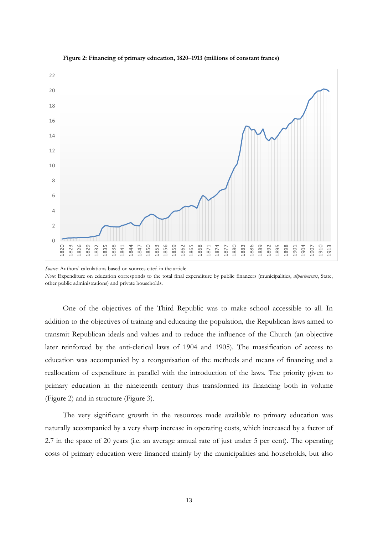



One of the objectives of the Third Republic was to make school accessible to all. In addition to the objectives of training and educating the population, the Republican laws aimed to transmit Republican ideals and values and to reduce the influence of the Church (an objective later reinforced by the anti-clerical laws of 1904 and 1905). The massification of access to education was accompanied by a reorganisation of the methods and means of financing and a reallocation of expenditure in parallel with the introduction of the laws. The priority given to primary education in the nineteenth century thus transformed its financing both in volume (Figure 2) and in structure (Figure 3).

The very significant growth in the resources made available to primary education was naturally accompanied by a very sharp increase in operating costs, which increased by a factor of 2.7 in the space of 20 years (i.e. an average annual rate of just under 5 per cent). The operating costs of primary education were financed mainly by the municipalities and households, but also

*Source*: Authors' calculations based on sources cited in the article *Note:* Expenditure on education corresponds to the total final expenditure by public financers (municipalities, *départements*, State, other public administrations) and private households.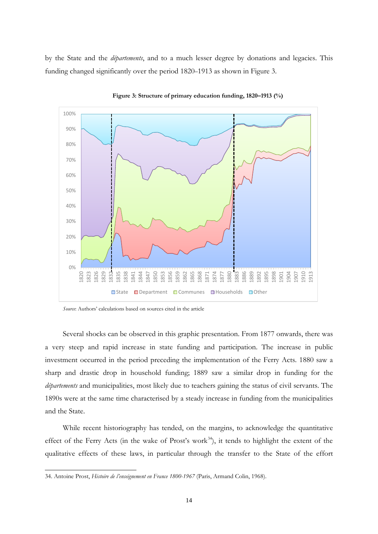by the State and the *départements*, and to a much lesser degree by donations and legacies. This funding changed significantly over the period 1820–1913 as shown in Figure 3.





*Source*: Authors' calculations based on sources cited in the article

Several shocks can be observed in this graphic presentation. From 1877 onwards, there was a very steep and rapid increase in state funding and participation. The increase in public investment occurred in the period preceding the implementation of the Ferry Acts. 1880 saw a sharp and drastic drop in household funding; 1889 saw a similar drop in funding for the *départements* and municipalities, most likely due to teachers gaining the status of civil servants. The 1890s were at the same time characterised by a steady increase in funding from the municipalities and the State.

While recent historiography has tended, on the margins, to acknowledge the quantitative effect of the Ferry Acts (in the wake of Prost's work<sup>34</sup>), it tends to highlight the extent of the qualitative effects of these laws, in particular through the transfer to the State of the effort

<span id="page-14-0"></span><sup>34.</sup> Antoine Prost, *Histoire de l'enseignement en France 1800-1967* (Paris, Armand Colin, 1968).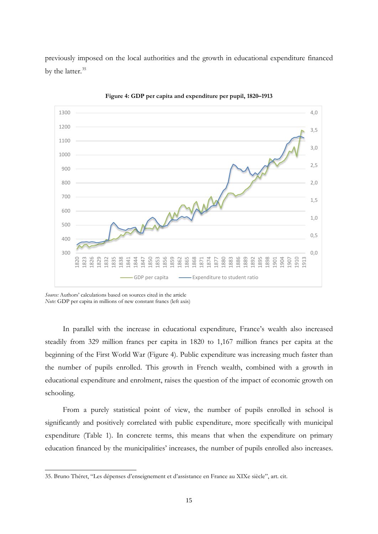previously imposed on the local authorities and the growth in educational expenditure financed by the latter. [35](#page-15-0)



**Figure 4: GDP per capita and expenditure per pupil, 1820–1913**

-

In parallel with the increase in educational expenditure, France's wealth also increased steadily from 329 million francs per capita in 1820 to 1,167 million francs per capita at the beginning of the First World War (Figure 4). Public expenditure was increasing much faster than the number of pupils enrolled. This growth in French wealth, combined with a growth in educational expenditure and enrolment, raises the question of the impact of economic growth on schooling.

From a purely statistical point of view, the number of pupils enrolled in school is significantly and positively correlated with public expenditure, more specifically with municipal expenditure (Table 1). In concrete terms, this means that when the expenditure on primary education financed by the municipalities' increases, the number of pupils enrolled also increases.

*Source:* Authors' calculations based on sources cited in the article *Note:* GDP per capita in millions of new constant francs (left axis)

<span id="page-15-0"></span><sup>35.</sup> Bruno Théret, "Les dépenses d'enseignement et d'assistance en France au XIXe siècle", art. cit.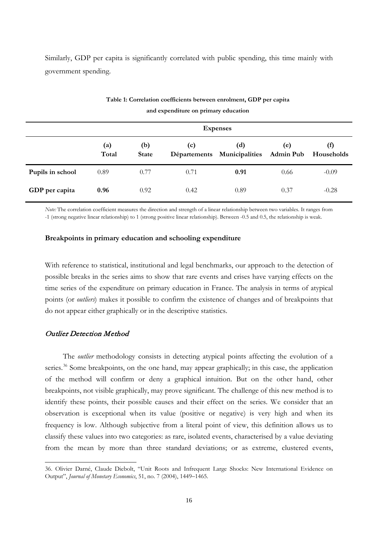Similarly, GDP per capita is significantly correlated with public spending, this time mainly with government spending.

|                  | <b>Expenses</b> |                     |      |                                    |                         |                                         |
|------------------|-----------------|---------------------|------|------------------------------------|-------------------------|-----------------------------------------|
|                  | (a)<br>Total    | (b)<br><b>State</b> | (c)  | (d)<br>Départements Municipalities | (e)<br><b>Admin Pub</b> | $\left( \text{f} \right)$<br>Households |
| Pupils in school | 0.89            | 0.77                | 0.71 | 0.91                               | 0.66                    | $-0.09$                                 |
| GDP per capita   | 0.96            | 0.92                | 0.42 | 0.89                               | 0.37                    | $-0.28$                                 |

### **Table 1: Correlation coefficients between enrolment, GDP per capita and expenditure on primary education**

*Note:* The correlation coefficient measures the direction and strength of a linear relationship between two variables. It ranges from -1 (strong negative linear relationship) to 1 (strong positive linear relationship). Between -0.5 and 0.5, the relationship is weak.

#### **Breakpoints in primary education and schooling expenditure**

With reference to statistical, institutional and legal benchmarks, our approach to the detection of possible breaks in the series aims to show that rare events and crises have varying effects on the time series of the expenditure on primary education in France. The analysis in terms of atypical points (or *outliers*) makes it possible to confirm the existence of changes and of breakpoints that do not appear either graphically or in the descriptive statistics.

#### Outlier Detection Method

-

The *outlier* methodology consists in detecting atypical points affecting the evolution of a series.<sup>[36](#page-16-0)</sup> Some breakpoints, on the one hand, may appear graphically; in this case, the application of the method will confirm or deny a graphical intuition. But on the other hand, other breakpoints, not visible graphically, may prove significant. The challenge of this new method is to identify these points, their possible causes and their effect on the series. We consider that an observation is exceptional when its value (positive or negative) is very high and when its frequency is low. Although subjective from a literal point of view, this definition allows us to classify these values into two categories: as rare, isolated events, characterised by a value deviating from the mean by more than three standard deviations; or as extreme, clustered events,

<span id="page-16-0"></span><sup>36.</sup> Olivier Darné, Claude Diebolt, "Unit Roots and Infrequent Large Shocks: New International Evidence on Output", *Journal of Monetary Economics*, 51, no. 7 (2004), 1449–1465.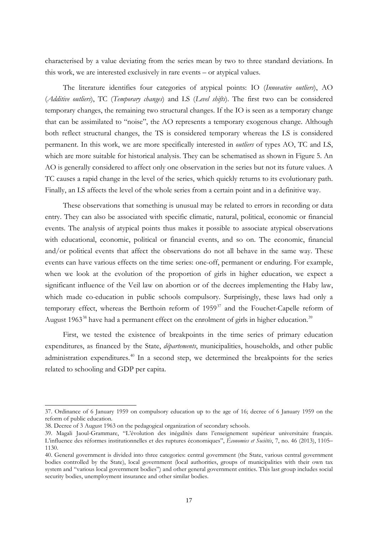characterised by a value deviating from the series mean by two to three standard deviations. In this work, we are interested exclusively in rare events – or atypical values.

The literature identifies four categories of atypical points: IO (*Innovative outliers*), AO (*Additive outliers*), TC (*Temporary changes*) and LS (*Level shifts*). The first two can be considered temporary changes, the remaining two structural changes. If the IO is seen as a temporary change that can be assimilated to "noise", the AO represents a temporary exogenous change. Although both reflect structural changes, the TS is considered temporary whereas the LS is considered permanent. In this work, we are more specifically interested in *outliers* of types AO, TC and LS, which are more suitable for historical analysis. They can be schematised as shown in Figure 5. An AO is generally considered to affect only one observation in the series but not its future values. A TC causes a rapid change in the level of the series, which quickly returns to its evolutionary path. Finally, an LS affects the level of the whole series from a certain point and in a definitive way.

These observations that something is unusual may be related to errors in recording or data entry. They can also be associated with specific climatic, natural, political, economic or financial events. The analysis of atypical points thus makes it possible to associate atypical observations with educational, economic, political or financial events, and so on. The economic, financial and/or political events that affect the observations do not all behave in the same way. These events can have various effects on the time series: one-off, permanent or enduring. For example, when we look at the evolution of the proportion of girls in higher education, we expect a significant influence of the Veil law on abortion or of the decrees implementing the Haby law, which made co-education in public schools compulsory. Surprisingly, these laws had only a temporary effect, whereas the Berthoin reform of  $1959<sup>37</sup>$  $1959<sup>37</sup>$  $1959<sup>37</sup>$  and the Fouchet-Capelle reform of August 1963<sup>[38](#page-17-1)</sup> have had a permanent effect on the enrolment of girls in higher education.<sup>[39](#page-17-2)</sup>

First, we tested the existence of breakpoints in the time series of primary education expenditures, as financed by the State, *départements*, municipalities, households, and other public administration expenditures.<sup>[40](#page-17-3)</sup> In a second step, we determined the breakpoints for the series related to schooling and GDP per capita.

<span id="page-17-0"></span><sup>37.</sup> Ordinance of 6 January 1959 on compulsory education up to the age of 16; decree of 6 January 1959 on the reform of public education.

<span id="page-17-1"></span><sup>38.</sup> Decree of 3 August 1963 on the pedagogical organization of secondary schools.

<span id="page-17-2"></span><sup>39.</sup> Magali Jaoul-Grammare, "L'évolution des inégalités dans l'enseignement supérieur universitaire français. L'influence des réformes institutionnelles et des ruptures économiques", *Économies et Sociétés*, 7, no. 46 (2013), 1105– 1130.

<span id="page-17-3"></span><sup>40.</sup> General government is divided into three categories: central government (the State, various central government bodies controlled by the State), local government (local authorities, groups of municipalities with their own tax system and "various local government bodies") and other general government entities. This last group includes social security bodies, unemployment insurance and other similar bodies.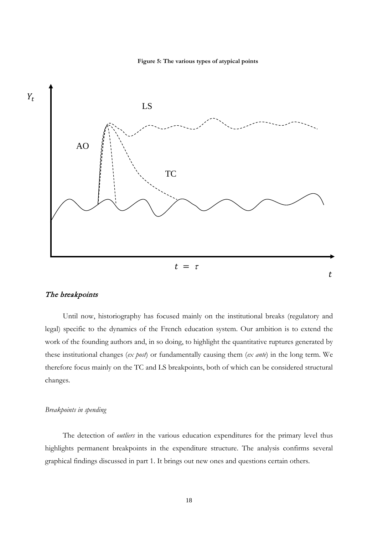



#### The breakpoints

Until now, historiography has focused mainly on the institutional breaks (regulatory and legal) specific to the dynamics of the French education system. Our ambition is to extend the work of the founding authors and, in so doing, to highlight the quantitative ruptures generated by these institutional changes (*ex post*) or fundamentally causing them (*ex ante*) in the long term. We therefore focus mainly on the TC and LS breakpoints, both of which can be considered structural changes.

#### *Breakpoints in spending*

The detection of *outliers* in the various education expenditures for the primary level thus highlights permanent breakpoints in the expenditure structure. The analysis confirms several graphical findings discussed in part 1. It brings out new ones and questions certain others.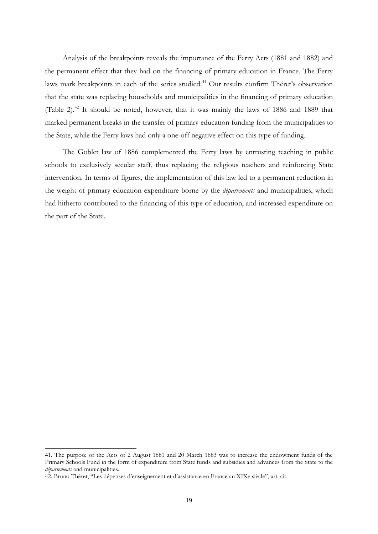Analysis of the breakpoints reveals the importance of the Ferry Acts (1881 and 1882) and the permanent effect that they had on the financing of primary education in France. The Ferry laws mark breakpoints in each of the series studied. [41](#page-19-0) Our results confirm Théret's observation that the state was replacing households and municipalities in the financing of primary education (Table 2).<sup>[42](#page-19-1)</sup> It should be noted, however, that it was mainly the laws of 1886 and 1889 that marked permanent breaks in the transfer of primary education funding from the municipalities to the State, while the Ferry laws had only a one-off negative effect on this type of funding.

The Goblet law of 1886 complemented the Ferry laws by entrusting teaching in public schools to exclusively secular staff, thus replacing the religious teachers and reinforcing State intervention. In terms of figures, the implementation of this law led to a permanent reduction in the weight of primary education expenditure borne by the *départements* and municipalities, which had hitherto contributed to the financing of this type of education, and increased expenditure on the part of the State.

<span id="page-19-0"></span><sup>41.</sup> The purpose of the Acts of 2 August 1881 and 20 March 1883 was to increase the endowment funds of the Primary Schools Fund in the form of expenditure from State funds and subsidies and advances from the State to the *départements* and municipalities.

<span id="page-19-1"></span><sup>42.</sup> Bruno Théret, "Les dépenses d'enseignement et d'assistance en France au XIXe siècle", art. cit.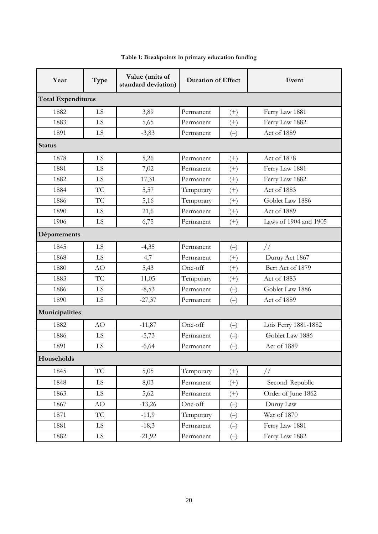| Year                      | Type      | Value (units of<br>standard deviation) | <b>Duration of Effect</b> |                          | Event                 |  |  |  |  |
|---------------------------|-----------|----------------------------------------|---------------------------|--------------------------|-----------------------|--|--|--|--|
| <b>Total Expenditures</b> |           |                                        |                           |                          |                       |  |  |  |  |
| 1882                      | LS        | 3,89                                   | Permanent                 | $^{(+)}$                 | Ferry Law 1881        |  |  |  |  |
| 1883                      | LS        | 5,65                                   | Permanent                 | $^{(+)}$                 | Ferry Law 1882        |  |  |  |  |
| 1891                      | LS        | $-3,83$                                | Permanent                 | $(-)$                    | Act of 1889           |  |  |  |  |
| <b>Status</b>             |           |                                        |                           |                          |                       |  |  |  |  |
| 1878                      | LS        | 5,26                                   | Permanent                 | $^{(+)}$                 | Act of 1878           |  |  |  |  |
| 1881                      | LS        | 7,02                                   | Permanent                 | $^{(+)}$                 | Ferry Law 1881        |  |  |  |  |
| 1882                      | LS        | 17,31                                  | Permanent                 | $^{(+)}$                 | Ferry Law 1882        |  |  |  |  |
| 1884                      | TC        | 5,57                                   | Temporary                 | $(+)$                    | Act of 1883           |  |  |  |  |
| 1886                      | <b>TC</b> | 5,16                                   | Temporary                 | $^{(+)}$                 | Goblet Law 1886       |  |  |  |  |
| 1890                      | LS        | 21,6                                   | Permanent                 | $^{(+)}$                 | Act of 1889           |  |  |  |  |
| 1906                      | LS        | 6,75                                   | Permanent                 | $^{(+)}$                 | Laws of 1904 and 1905 |  |  |  |  |
| Départements              |           |                                        |                           |                          |                       |  |  |  |  |
| 1845                      | LS        | $-4,35$                                | Permanent                 | $(-)$                    | $\frac{1}{2}$         |  |  |  |  |
| 1868                      | LS        | 4,7                                    | Permanent                 | $^{(+)}$                 | Duruy Act 1867        |  |  |  |  |
| 1880                      | <b>AO</b> | 5,43                                   | One-off                   | $^{(+)}$                 | Bert Act of 1879      |  |  |  |  |
| 1883                      | TC        | 11,05                                  | Temporary                 | $^{(+)}$                 | Act of 1883           |  |  |  |  |
| 1886                      | LS        | $-8,53$                                | Permanent                 | $(\hbox{--})$            | Goblet Law 1886       |  |  |  |  |
| 1890                      | LS        | $-27,37$                               | Permanent                 | $(-)$                    | Act of 1889           |  |  |  |  |
| Municipalities            |           |                                        |                           |                          |                       |  |  |  |  |
| 1882                      | AO        | $-11,87$                               | One-off                   | $(\hbox{--})$            | Lois Ferry 1881-1882  |  |  |  |  |
| 1886                      | LS        | $-5,73$                                | Permanent<br>$(-)$        |                          | Goblet Law 1886       |  |  |  |  |
| 1891                      | LS        | $-6,64$                                | Permanent                 | $(-)$                    | Act of 1889           |  |  |  |  |
| Households                |           |                                        |                           |                          |                       |  |  |  |  |
| 1845                      | <b>TC</b> | 5,05                                   | Temporary                 | $^{(+)}$                 | $\frac{1}{2}$         |  |  |  |  |
| 1848                      | LS.       | 8,03                                   | Permanent                 | $(+)$                    | Second Republic       |  |  |  |  |
| 1863                      | LS.       | 5,62                                   | Permanent                 | $^{(+)}$                 | Order of June 1862    |  |  |  |  |
| 1867                      | AO        | $-13,26$                               | One-off                   | $(-)$                    | Duruy Law             |  |  |  |  |
| 1871                      | <b>TC</b> | $-11,9$                                | Temporary                 | $(-)$                    | War of 1870           |  |  |  |  |
| 1881                      | LS.       | $-18,3$                                | Permanent                 | $\left( \! - \right)$    | Ferry Law 1881        |  |  |  |  |
| 1882                      | LS        | $-21,92$                               | Permanent                 | $\left( \! - \! \right)$ | Ferry Law 1882        |  |  |  |  |

## **Table 1: Breakpoints in primary education funding**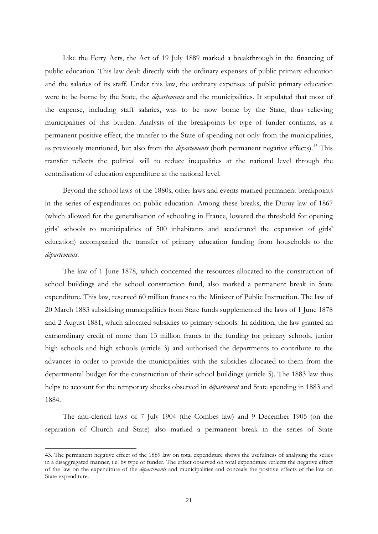Like the Ferry Acts, the Act of 19 July 1889 marked a breakthrough in the financing of public education. This law dealt directly with the ordinary expenses of public primary education and the salaries of its staff. Under this law, the ordinary expenses of public primary education were to be borne by the State, the *départements* and the municipalities. It stipulated that most of the expense, including staff salaries, was to be now borne by the State, thus relieving municipalities of this burden. Analysis of the breakpoints by type of funder confirms, as a permanent positive effect, the transfer to the State of spending not only from the municipalities, as previously mentioned, but also from the *départements* (both permanent negative effects). [43](#page-21-0) This transfer reflects the political will to reduce inequalities at the national level through the centralisation of education expenditure at the national level.

Beyond the school laws of the 1880s, other laws and events marked permanent breakpoints in the series of expenditures on public education. Among these breaks, the Duruy law of 1867 (which allowed for the generalisation of schooling in France, lowered the threshold for opening girls' schools to municipalities of 500 inhabitants and accelerated the expansion of girls' education) accompanied the transfer of primary education funding from households to the *départements*.

The law of 1 June 1878, which concerned the resources allocated to the construction of school buildings and the school construction fund, also marked a permanent break in State expenditure. This law, reserved 60 million francs to the Minister of Public Instruction. The law of 20 March 1883 subsidising municipalities from State funds supplemented the laws of 1 June 1878 and 2 August 1881, which allocated subsidies to primary schools. In addition, the law granted an extraordinary credit of more than 13 million francs to the funding for primary schools, junior high schools and high schools (article 3) and authorised the departments to contribute to the advances in order to provide the municipalities with the subsidies allocated to them from the departmental budget for the construction of their school buildings (article 5). The 1883 law thus helps to account for the temporary shocks observed in *département* and State spending in 1883 and 1884.

The anti-clerical laws of 7 July 1904 (the Combes law) and 9 December 1905 (on the separation of Church and State) also marked a permanent break in the series of State

<span id="page-21-0"></span><sup>43.</sup> The permanent negative effect of the 1889 law on total expenditure shows the usefulness of analysing the series in a disaggregated manner, i.e. by type of funder. The effect observed on total expenditure reflects the negative effect of the law on the expenditure of the *départements* and municipalities and conceals the positive effects of the law on State expenditure.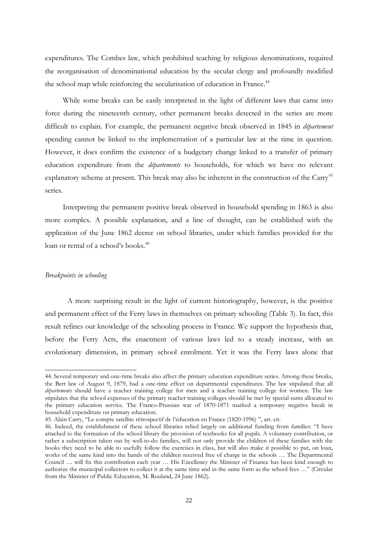expenditures. The Combes law, which prohibited teaching by religious denominations, required the reorganisation of denominational education by the secular clergy and profoundly modified the school map while reinforcing the secularisation of education in France.<sup>[44](#page-22-0)</sup>

While some breaks can be easily interpreted in the light of different laws that came into force during the nineteenth century, other permanent breaks detected in the series are more difficult to explain. For example, the permanent negative break observed in 1845 in *département* spending cannot be linked to the implementation of a particular law at the time in question. However, it does confirm the existence of a budgetary change linked to a transfer of primary education expenditure from the *départements* to households, for which we have no relevant explanatory scheme at present. This break may also be inherent in the construction of the Carry<sup>[45](#page-22-1)</sup> series.

Interpreting the permanent positive break observed in household spending in 1863 is also more complex. A possible explanation, and a line of thought, can be established with the application of the June 1862 decree on school libraries, under which families provided for the loan or rental of a school's books. [46](#page-22-2)

#### *Breakpoints in schooling*

-

A more surprising result in the light of current historiography, however, is the positive and permanent effect of the Ferry laws in themselves on primary schooling (Table 3). In fact, this result refines our knowledge of the schooling process in France. We support the hypothesis that, before the Ferry Acts, the enactment of various laws led to a steady increase, with an evolutionary dimension, in primary school enrolment. Yet it was the Ferry laws alone that

<span id="page-22-0"></span><sup>44.</sup> Several temporary and one-time breaks also affect the primary education expenditure series. Among these breaks, the Bert law of August 9, 1879, had a one-time effect on departmental expenditures. The law stipulated that all *départements* should have a teacher training college for men and a teacher training college for women. The law stipulates that the school expenses of the primary teacher training colleges should be met by special sums allocated to the primary education service. The Franco-Prussian war of 1870-1871 marked a temporary negative break in household expenditure on primary education.

<sup>45.</sup> Alain Carry, "Le compte satellite rétrospectif de l'éducation en France (1820-1996) ", art. cit.

<span id="page-22-2"></span><span id="page-22-1"></span><sup>46.</sup> Indeed, the establishment of these school libraries relied largely on additional funding from families: "I have attached to the formation of the school library the provision of textbooks for all pupils. A voluntary contribution, or rather a subscription taken out by well-to-do families, will not only provide the children of these families with the books they need to be able to usefully follow the exercises in class, but will also make it possible to put, on loan, works of the same kind into the hands of the children received free of charge in the schools … The Departmental Council … will fix this contribution each year … His Excellency the Minister of Finance has been kind enough to authorize the municipal collectors to collect it at the same time and in the same form as the school fees …" (Circular from the Minister of Public Education, M. Rouland, 24 June 1862).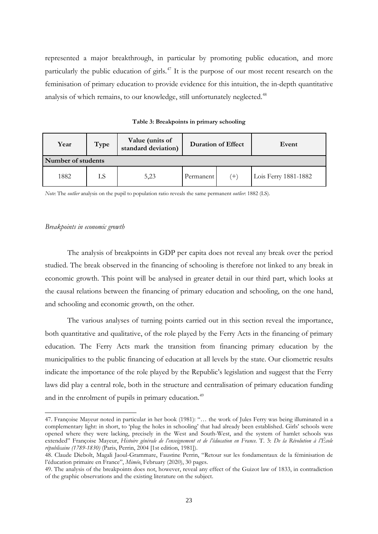represented a major breakthrough, in particular by promoting public education, and more particularly the public education of girls.<sup>[47](#page-23-0)</sup> It is the purpose of our most recent research on the feminisation of primary education to provide evidence for this intuition, the in-depth quantitative analysis of which remains, to our knowledge, still unfortunately neglected.<sup>[48](#page-23-1)</sup>

|  | Table 3: Breakpoints in primary schooling |  |  |
|--|-------------------------------------------|--|--|
|  |                                           |  |  |

| Year               | Type | Value (units of<br>standard deviation) | <b>Duration of Effect</b> |               | Event                |  |
|--------------------|------|----------------------------------------|---------------------------|---------------|----------------------|--|
| Number of students |      |                                        |                           |               |                      |  |
| 1882               | LS   | 5,23                                   | Permanent                 | $^{\prime}$ + | Lois Ferry 1881-1882 |  |

*Note*: The *outlier* analysis on the pupil to population ratio reveals the same permanent *outlier*: 1882 (LS).

#### *Breakpoints in economic growth*

-

The analysis of breakpoints in GDP per capita does not reveal any break over the period studied. The break observed in the financing of schooling is therefore not linked to any break in economic growth. This point will be analysed in greater detail in our third part, which looks at the causal relations between the financing of primary education and schooling, on the one hand, and schooling and economic growth, on the other.

The various analyses of turning points carried out in this section reveal the importance, both quantitative and qualitative, of the role played by the Ferry Acts in the financing of primary education. The Ferry Acts mark the transition from financing primary education by the municipalities to the public financing of education at all levels by the state. Our cliometric results indicate the importance of the role played by the Republic's legislation and suggest that the Ferry laws did play a central role, both in the structure and centralisation of primary education funding and in the enrolment of pupils in primary education.<sup>[49](#page-23-2)</sup>

<span id="page-23-0"></span><sup>47.</sup> Françoise Mayeur noted in particular in her book (1981): "… the work of Jules Ferry was being illuminated in a complementary light: in short, to 'plug the holes in schooling' that had already been established. Girls' schools were opened where they were lacking, precisely in the West and South-West, and the system of hamlet schools was extended" Françoise Mayeur, *Histoire générale de l'enseignement et de l'éducation en France*. T. 3: *De la Révolution à l'École républicaine (1789-1830)* (Paris, Perrin, 2004 [1st edition, 1981]).

<span id="page-23-1"></span><sup>48.</sup> Claude Diebolt, Magali Jaoul-Grammare, Faustine Perrin, "Retour sur les fondamentaux de la féminisation de l'éducation primaire en France", *Miméo*, February (2020), 30 pages.

<span id="page-23-2"></span><sup>49.</sup> The analysis of the breakpoints does not, however, reveal any effect of the Guizot law of 1833, in contradiction of the graphic observations and the existing literature on the subject.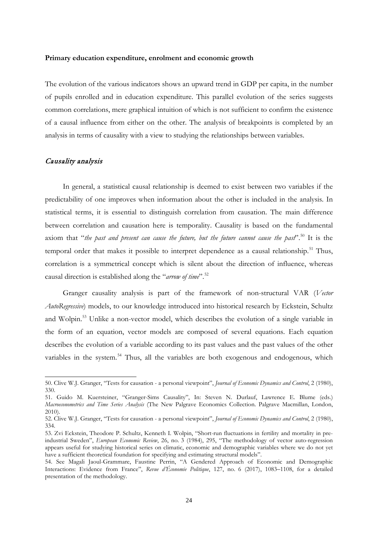#### **Primary education expenditure, enrolment and economic growth**

The evolution of the various indicators shows an upward trend in GDP per capita, in the number of pupils enrolled and in education expenditure. This parallel evolution of the series suggests common correlations, mere graphical intuition of which is not sufficient to confirm the existence of a causal influence from either on the other. The analysis of breakpoints is completed by an analysis in terms of causality with a view to studying the relationships between variables.

#### Causality analysis

-

In general, a statistical causal relationship is deemed to exist between two variables if the predictability of one improves when information about the other is included in the analysis. In statistical terms, it is essential to distinguish correlation from causation. The main difference between correlation and causation here is temporality. Causality is based on the fundamental axiom that "*the past and present can cause the future, but the future cannot cause the past*". [50](#page-24-0) It is the temporal order that makes it possible to interpret dependence as a causal relationship.<sup>[51](#page-24-1)</sup> Thus, correlation is a symmetrical concept which is silent about the direction of influence, whereas causal direction is established along the "*arrow of time*". [52](#page-24-2)

Granger causality analysis is part of the framework of non-structural VAR (*Vector AutoRegressive*) models, to our knowledge introduced into historical research by Eckstein, Schultz and Wolpin.<sup>[53](#page-24-3)</sup> Unlike a non-vector model, which describes the evolution of a single variable in the form of an equation, vector models are composed of several equations. Each equation describes the evolution of a variable according to its past values and the past values of the other variables in the system.<sup>[54](#page-24-4)</sup> Thus, all the variables are both exogenous and endogenous, which

<span id="page-24-0"></span><sup>50.</sup> Clive W.J. Granger, "Tests for causation - a personal viewpoint", *Journal of Economic Dynamics and Control*, 2 (1980), 330.

<span id="page-24-1"></span><sup>51.</sup> Guido M. Kuersteiner, "Granger-Sims Causality", In: Steven N. Durlauf, Lawrence E. Blume (eds.) *Macroeconometrics and Time Series Analysis* (The New Palgrave Economics Collection. Palgrave Macmillan, London, 2010).

<span id="page-24-2"></span><sup>52.</sup> Clive W.J. Granger, "Tests for causation - a personal viewpoint", *Journal of Economic Dynamics and Control*, 2 (1980), 334.

<span id="page-24-3"></span><sup>53.</sup> Zvi Eckstein, Theodore P. Schultz, Kenneth I. Wolpin, "Short-run fluctuations in fertility and mortality in preindustrial Sweden", *European Economic Review*, 26, no. 3 (1984), 295, "The methodology of vector auto-regression appears useful for studying historical series on climatic, economic and demographic variables where we do not yet have a sufficient theoretical foundation for specifying and estimating structural models".

<span id="page-24-4"></span><sup>54.</sup> See Magali Jaoul-Grammare, Faustine Perrin, "A Gendered Approach of Economic and Demographic Interactions: Evidence from France", *Revue d'Économie Politique*, 127, no. 6 (2017), 1083–1108, for a detailed presentation of the methodology.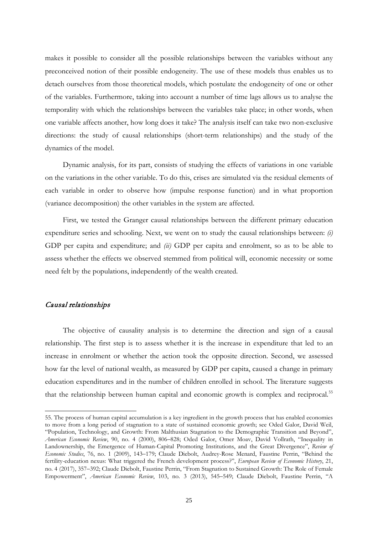makes it possible to consider all the possible relationships between the variables without any preconceived notion of their possible endogeneity. The use of these models thus enables us to detach ourselves from those theoretical models, which postulate the endogeneity of one or other of the variables. Furthermore, taking into account a number of time lags allows us to analyse the temporality with which the relationships between the variables take place; in other words, when one variable affects another, how long does it take? The analysis itself can take two non-exclusive directions: the study of causal relationships (short-term relationships) and the study of the dynamics of the model.

Dynamic analysis, for its part, consists of studying the effects of variations in one variable on the variations in the other variable. To do this, crises are simulated via the residual elements of each variable in order to observe how (impulse response function) and in what proportion (variance decomposition) the other variables in the system are affected.

First, we tested the Granger causal relationships between the different primary education expenditure series and schooling. Next, we went on to study the causal relationships between: *(i)*  GDP per capita and expenditure; and *(ii)* GDP per capita and enrolment, so as to be able to assess whether the effects we observed stemmed from political will, economic necessity or some need felt by the populations, independently of the wealth created.

#### Causal relationships

1

The objective of causality analysis is to determine the direction and sign of a causal relationship. The first step is to assess whether it is the increase in expenditure that led to an increase in enrolment or whether the action took the opposite direction. Second, we assessed how far the level of national wealth, as measured by GDP per capita, caused a change in primary education expenditures and in the number of children enrolled in school. The literature suggests that the relationship between human capital and economic growth is complex and reciprocal.<sup>[55](#page-25-0)</sup>

<span id="page-25-0"></span><sup>55.</sup> The process of human capital accumulation is a key ingredient in the growth process that has enabled economies to move from a long period of stagnation to a state of sustained economic growth; see Oded Galor, David Weil, "Population, Technology, and Growth: From Malthusian Stagnation to the Demographic Transition and Beyond", *American Economic Review*, 90, no. 4 (2000), 806–828; Oded Galor, Omer Moav, David Vollrath, "Inequality in Landownership, the Emergence of Human-Capital Promoting Institutions, and the Great Divergence", *Review of Economic Studies*, 76, no. 1 (2009), 143–179; Claude Diebolt, Audrey-Rose Menard, Faustine Perrin, "Behind the fertility-education nexus: What triggered the French development process?", *European Review of Economic History*, 21, no. 4 (2017), 357–392; Claude Diebolt, Faustine Perrin, "From Stagnation to Sustained Growth: The Role of Female Empowerment", *American Economic Review*, 103, no. 3 (2013), 545–549; Claude Diebolt, Faustine Perrin, "A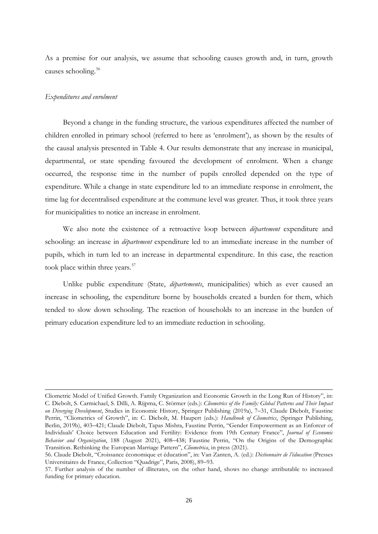As a premise for our analysis, we assume that schooling causes growth and, in turn, growth causes schooling. [56](#page-26-0)

#### *Expenditures and enrolment*

-

Beyond a change in the funding structure, the various expenditures affected the number of children enrolled in primary school (referred to here as 'enrolment'), as shown by the results of the causal analysis presented in Table 4. Our results demonstrate that any increase in municipal, departmental, or state spending favoured the development of enrolment. When a change occurred, the response time in the number of pupils enrolled depended on the type of expenditure. While a change in state expenditure led to an immediate response in enrolment, the time lag for decentralised expenditure at the commune level was greater. Thus, it took three years for municipalities to notice an increase in enrolment.

We also note the existence of a retroactive loop between *département* expenditure and schooling: an increase in *département* expenditure led to an immediate increase in the number of pupils, which in turn led to an increase in departmental expenditure. In this case, the reaction took place within three years. [57](#page-26-1)

Unlike public expenditure (State, *départements*, municipalities) which as ever caused an increase in schooling, the expenditure borne by households created a burden for them, which tended to slow down schooling. The reaction of households to an increase in the burden of primary education expenditure led to an immediate reduction in schooling.

Cliometric Model of Unified Growth. Family Organization and Economic Growth in the Long Run of History", in: C. Diebolt, S. Carmichael, S. Dilli, A. Rijpma, C. Störmer (eds.): *Cliometrics of the Family: Global Patterns and Their Impact on Diverging Development*, Studies in Economic History, Springer Publishing (2019a), 7–31, Claude Diebolt, Faustine Perrin, "Cliometrics of Growth", in: C. Diebolt, M. Haupert (eds.): *Handbook of Cliometrics*, (Springer Publishing, Berlin, 2019b), 403–421; Claude Diebolt, Tapas Mishra, Faustine Perrin, "Gender Empowerment as an Enforcer of Individuals' Choice between Education and Fertility: Evidence from 19th Century France", *Journal of Economic Behavior and Organization*, 188 (August 2021), 408–438; Faustine Perrin, "On the Origins of the Demographic Transition. Rethinking the European Marriage Pattern", *Cliometrica*, in press (2021).

<span id="page-26-0"></span><sup>56.</sup> Claude Diebolt, "Croissance économique et éducation", in: Van Zanten, A. (ed.): *Dictionnaire de l'éducation* (Presses Universitaires de France, Collection "Quadrige", Paris, 2008), 89–93.

<span id="page-26-1"></span><sup>57.</sup> Further analysis of the number of illiterates, on the other hand, shows no change attributable to increased funding for primary education.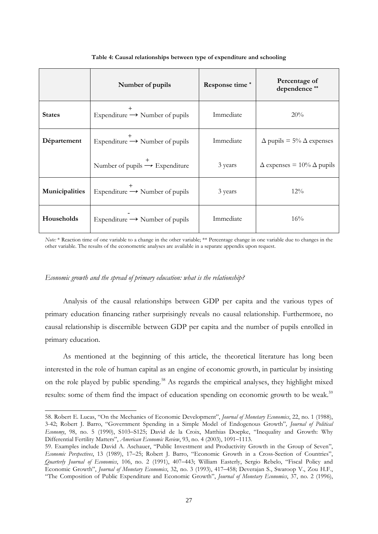|                | Number of pupils                           | Response time* | Percentage of<br>dependence**           |
|----------------|--------------------------------------------|----------------|-----------------------------------------|
| <b>States</b>  | Expenditure $\rightarrow$ Number of pupils | Immediate      | 20%                                     |
| Département    | Expenditure $\rightarrow$ Number of pupils | Immediate      | $\Delta$ pupils = 5% $\Delta$ expenses  |
|                | Number of pupils $\rightarrow$ Expenditure | 3 years        | $\Delta$ expenses = 10% $\Delta$ pupils |
| Municipalities | Expenditure $\rightarrow$ Number of pupils | 3 years        | $12\%$                                  |
| Households     | Expenditure $\rightarrow$ Number of pupils | Immediate      | $16\%$                                  |

#### **Table 4: Causal relationships between type of expenditure and schooling**

*Note:* \* Reaction time of one variable to a change in the other variable; \*\* Percentage change in one variable due to changes in the other variable. The results of the econometric analyses are available in a separate appendix upon request.

#### *Economic growth and the spread of primary education: what is the relationship?*

1

Analysis of the causal relationships between GDP per capita and the various types of primary education financing rather surprisingly reveals no causal relationship. Furthermore, no causal relationship is discernible between GDP per capita and the number of pupils enrolled in primary education.

As mentioned at the beginning of this article, the theoretical literature has long been interested in the role of human capital as an engine of economic growth, in particular by insisting on the role played by public spending.<sup>[58](#page-27-0)</sup> As regards the empirical analyses, they highlight mixed results: some of them find the impact of education spending on economic growth to be weak.<sup>[59](#page-27-1)</sup>

<span id="page-27-0"></span><sup>58.</sup> Robert E. Lucas, "On the Mechanics of Economic Development", *Journal of Monetary Economics*, 22, no. 1 (1988), 3-42; Robert J. Barro, "Government Spending in a Simple Model of Endogenous Growth"*, Journal of Political Economy*, 98, no. 5 (1990), S103–S125; David de la Croix, Matthias Doepke, "Inequality and Growth: Why Differential Fertility Matters", *American Economic Review*, 93, no. 4 (2003), 1091–1113.

<span id="page-27-1"></span><sup>59.</sup> Examples include David A. Aschauer, "Public Investment and Productivity Growth in the Group of Seven", *Economic Perspectives*, 13 (1989), 17–25; Robert J. Barro, "Economic Growth in a Cross-Section of Countries", *Quarterly Journal of Economics*, 106, no. 2 (1991), 407–443; William Easterly, Sergio Rebelo, "Fiscal Policy and Economic Growth", *Journal of Monetary Economics*, 32, no. 3 (1993), 417–458; Deverajan S., Swaroop V., Zou H.F., "The Composition of Public Expenditure and Economic Growth", *Journal of Monetary Economics*, 37, no. 2 (1996),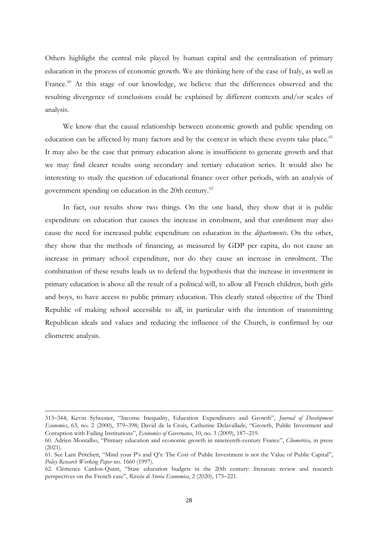Others highlight the central role played by human capital and the centralisation of primary education in the process of economic growth. We are thinking here of the case of Italy, as well as France.<sup>[60](#page-28-0)</sup> At this stage of our knowledge, we believe that the differences observed and the resulting divergence of conclusions could be explained by different contexts and/or scales of analysis.

We know that the causal relationship between economic growth and public spending on education can be affected by many factors and by the context in which these events take place.<sup>[61](#page-28-1)</sup> It may also be the case that primary education alone is insufficient to generate growth and that we may find clearer results using secondary and tertiary education series. It would also be interesting to study the question of educational finance over other periods, with an analysis of government spending on education in the 20th century.<sup>[62](#page-28-2)</sup>

In fact, our results show two things. On the one hand, they show that it is public expenditure on education that causes the increase in enrolment, and that enrolment may also cause the need for increased public expenditure on education in the *départements*. On the other, they show that the methods of financing, as measured by GDP per capita, do not cause an increase in primary school expenditure, nor do they cause an increase in enrolment. The combination of these results leads us to defend the hypothesis that the increase in investment in primary education is above all the result of a political will, to allow all French children, both girls and boys, to have access to public primary education. This clearly stated objective of the Third Republic of making school accessible to all, in particular with the intention of transmitting Republican ideals and values and reducing the influence of the Church, is confirmed by our cliometric analysis.

1

<sup>313</sup>–344; Kevin Sylwester, "Income Inequality, Education Expenditures and Growth", *Journal of Development Economics*, 63, no. 2 (2000), 379–398; David de la Croix, Catherine Delavallade, "Growth, Public Investment and Corruption with Failing Institutions", *Economics of Governance*, 10, no. 3 (2009), 187–219.

<span id="page-28-0"></span><sup>60.</sup> Adrien Montalbo, "Primary education and economic growth in nineteenth-century France", *Cliometrica*, in press (2021).

<span id="page-28-1"></span><sup>61.</sup> See Lant Pritchett, "Mind your P's and Q's: The Cost of Public Investment is not the Value of Public Capital", *Policy Research Working Paper* no. 1660 (1997).

<span id="page-28-2"></span><sup>62.</sup> Clémence Cardon-Quint, "State education budgets in the 20th century: literature review and research perspectives on the French case", *Rivista di Storia Economica*, 2 (2020), 175–221.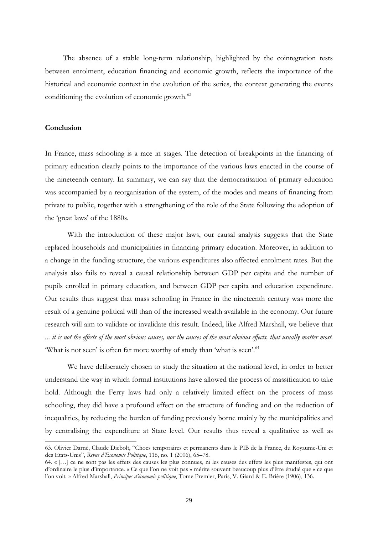The absence of a stable long-term relationship, highlighted by the cointegration tests between enrolment, education financing and economic growth, reflects the importance of the historical and economic context in the evolution of the series, the context generating the events conditioning the evolution of economic growth.<sup>[63](#page-29-0)</sup>

#### **Conclusion**

-

In France, mass schooling is a race in stages. The detection of breakpoints in the financing of primary education clearly points to the importance of the various laws enacted in the course of the nineteenth century. In summary, we can say that the democratisation of primary education was accompanied by a reorganisation of the system, of the modes and means of financing from private to public, together with a strengthening of the role of the State following the adoption of the 'great laws' of the 1880s.

With the introduction of these major laws, our causal analysis suggests that the State replaced households and municipalities in financing primary education. Moreover, in addition to a change in the funding structure, the various expenditures also affected enrolment rates. But the analysis also fails to reveal a causal relationship between GDP per capita and the number of pupils enrolled in primary education, and between GDP per capita and education expenditure. Our results thus suggest that mass schooling in France in the nineteenth century was more the result of a genuine political will than of the increased wealth available in the economy. Our future research will aim to validate or invalidate this result. Indeed, like Alfred Marshall, we believe that *... it is not the effects of the most obvious causes, nor the causes of the most obvious effects, that usually matter most.*  'What is not seen' is often far more worthy of study than 'what is seen'.<sup>[64](#page-29-1)</sup>

We have deliberately chosen to study the situation at the national level, in order to better understand the way in which formal institutions have allowed the process of massification to take hold. Although the Ferry laws had only a relatively limited effect on the process of mass schooling, they did have a profound effect on the structure of funding and on the reduction of inequalities, by reducing the burden of funding previously borne mainly by the municipalities and by centralising the expenditure at State level. Our results thus reveal a qualitative as well as

<span id="page-29-0"></span><sup>63.</sup> Olivier Darné, Claude Diebolt, "Chocs temporaires et permanents dans le PIB de la France, du Royaume-Uni et des Etats-Unis", *Revue d'Economie Politique*, 116, no. 1 (2006), 65–78.

<span id="page-29-1"></span><sup>64. «</sup> […] ce ne sont pas les effets des causes les plus connues, ni les causes des effets les plus manifestes, qui ont d'ordinaire le plus d'importance. « Ce que l'on ne voit pas » mérite souvent beaucoup plus d'être étudié que « ce que l'on voit*.* » Alfred Marshall, *Principes d'économie politique*, Tome Premier, Paris, V. Giard & E. Brière (1906), 136.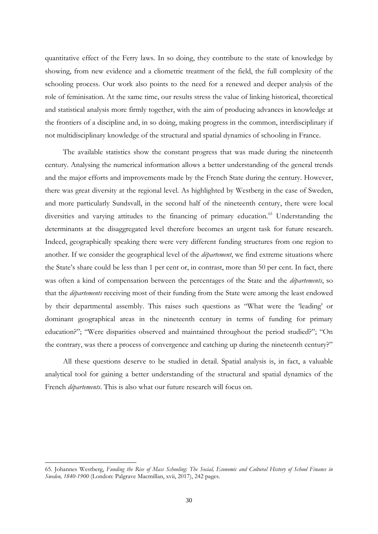quantitative effect of the Ferry laws. In so doing, they contribute to the state of knowledge by showing, from new evidence and a cliometric treatment of the field, the full complexity of the schooling process. Our work also points to the need for a renewed and deeper analysis of the role of feminisation. At the same time, our results stress the value of linking historical, theoretical and statistical analysis more firmly together, with the aim of producing advances in knowledge at the frontiers of a discipline and, in so doing, making progress in the common, interdisciplinary if not multidisciplinary knowledge of the structural and spatial dynamics of schooling in France.

The available statistics show the constant progress that was made during the nineteenth century. Analysing the numerical information allows a better understanding of the general trends and the major efforts and improvements made by the French State during the century. However, there was great diversity at the regional level. As highlighted by Westberg in the case of Sweden, and more particularly Sundsvall, in the second half of the nineteenth century, there were local diversities and varying attitudes to the financing of primary education. [65](#page-30-0) Understanding the determinants at the disaggregated level therefore becomes an urgent task for future research. Indeed, geographically speaking there were very different funding structures from one region to another. If we consider the geographical level of the *département*, we find extreme situations where the State's share could be less than 1 per cent or, in contrast, more than 50 per cent. In fact, there was often a kind of compensation between the percentages of the State and the *départements*, so that the *départements* receiving most of their funding from the State were among the least endowed by their departmental assembly. This raises such questions as "What were the 'leading' or dominant geographical areas in the nineteenth century in terms of funding for primary education?"; "Were disparities observed and maintained throughout the period studied?"; "On the contrary, was there a process of convergence and catching up during the nineteenth century?"

All these questions deserve to be studied in detail. Spatial analysis is, in fact, a valuable analytical tool for gaining a better understanding of the structural and spatial dynamics of the French *départements*. This is also what our future research will focus on.

<span id="page-30-0"></span><sup>65.</sup> Johannes Westberg, *Funding the Rise of Mass Schooling: The Social, Economic and Cultural History of School Finance in Sweden, 1840-1900* (London: Palgrave Macmillan, xvii, 2017), 242 pages.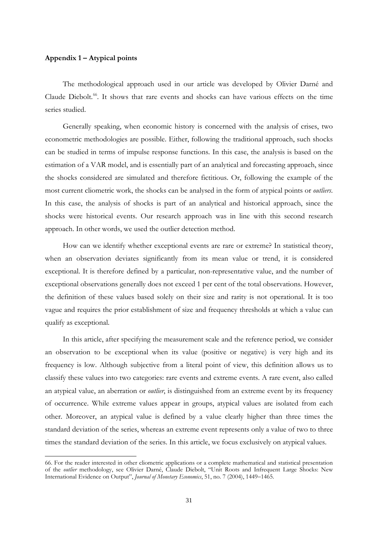#### **Appendix 1 – Atypical points**

-

The methodological approach used in our article was developed by Olivier Darné and Claude Diebolt. [66](#page-31-0). It shows that rare events and shocks can have various effects on the time series studied.

Generally speaking, when economic history is concerned with the analysis of crises, two econometric methodologies are possible. Either, following the traditional approach, such shocks can be studied in terms of impulse response functions. In this case, the analysis is based on the estimation of a VAR model, and is essentially part of an analytical and forecasting approach, since the shocks considered are simulated and therefore fictitious. Or, following the example of the most current cliometric work, the shocks can be analysed in the form of atypical points or *outliers*. In this case, the analysis of shocks is part of an analytical and historical approach, since the shocks were historical events. Our research approach was in line with this second research approach. In other words, we used the outlier detection method.

How can we identify whether exceptional events are rare or extreme? In statistical theory, when an observation deviates significantly from its mean value or trend, it is considered exceptional. It is therefore defined by a particular, non-representative value, and the number of exceptional observations generally does not exceed 1 per cent of the total observations. However, the definition of these values based solely on their size and rarity is not operational. It is too vague and requires the prior establishment of size and frequency thresholds at which a value can qualify as exceptional.

In this article, after specifying the measurement scale and the reference period, we consider an observation to be exceptional when its value (positive or negative) is very high and its frequency is low. Although subjective from a literal point of view, this definition allows us to classify these values into two categories: rare events and extreme events. A rare event, also called an atypical value, an aberration or *outlier*, is distinguished from an extreme event by its frequency of occurrence. While extreme values appear in groups, atypical values are isolated from each other. Moreover, an atypical value is defined by a value clearly higher than three times the standard deviation of the series, whereas an extreme event represents only a value of two to three times the standard deviation of the series. In this article, we focus exclusively on atypical values.

<span id="page-31-0"></span><sup>66.</sup> For the reader interested in other cliometric applications or a complete mathematical and statistical presentation of the *outlier* methodology, see Olivier Darné, Claude Diebolt, "Unit Roots and Infrequent Large Shocks: New International Evidence on Output", *Journal of Monetary Economics*, 51, no. 7 (2004), 1449–1465.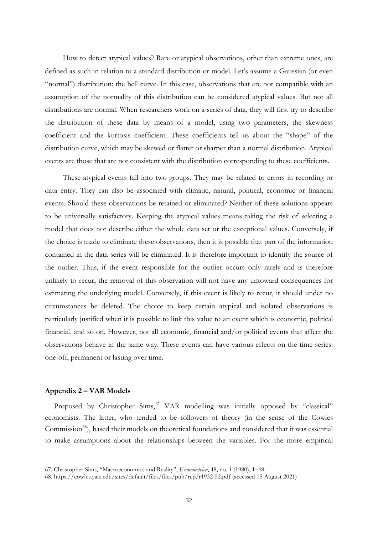How to detect atypical values? Rare or atypical observations, other than extreme ones, are defined as such in relation to a standard distribution or model. Let's assume a Gaussian (or even "normal") distribution: the bell curve. In this case, observations that are not compatible with an assumption of the normality of this distribution can be considered atypical values. But not all distributions are normal. When researchers work on a series of data, they will first try to describe the distribution of these data by means of a model, using two parameters, the skewness coefficient and the kurtosis coefficient. These coefficients tell us about the "shape" of the distribution curve, which may be skewed or flatter or sharper than a normal distribution. Atypical events are those that are not consistent with the distribution corresponding to these coefficients.

These atypical events fall into two groups. They may be related to errors in recording or data entry. They can also be associated with climatic, natural, political, economic or financial events. Should these observations be retained or eliminated? Neither of these solutions appears to be universally satisfactory. Keeping the atypical values means taking the risk of selecting a model that does not describe either the whole data set or the exceptional values. Conversely, if the choice is made to eliminate these observations, then it is possible that part of the information contained in the data series will be eliminated. It is therefore important to identify the source of the outlier. Thus, if the event responsible for the outlier occurs only rarely and is therefore unlikely to recur, the removal of this observation will not have any untoward consequences for estimating the underlying model. Conversely, if this event is likely to recur, it should under no circumstances be deleted. The choice to keep certain atypical and isolated observations is particularly justified when it is possible to link this value to an event which is economic, political financial, and so on. However, not all economic, financial and/or political events that affect the observations behave in the same way. These events can have various effects on the time series: one-off, permanent or lasting over time.

#### **Appendix 2 – VAR Models**

1

Proposed by Christopher Sims,<sup>[67](#page-32-0)</sup> VAR modelling was initially opposed by "classical" economists. The latter, who tended to be followers of theory (in the sense of the Cowles Commission<sup>68</sup>), based their models on theoretical foundations and considered that it was essential to make assumptions about the relationships between the variables. For the more empirical

<span id="page-32-0"></span><sup>67.</sup> Christopher Sims, "Macroeconomics and Reality", *Econometrica*, 48, no. 1 (1980), 1–48.

<span id="page-32-1"></span><sup>68.</sup> https://cowles.yale.edu/sites/default/files/files/pub/rep/r1932-52.pdf (accessed 15 August 2021)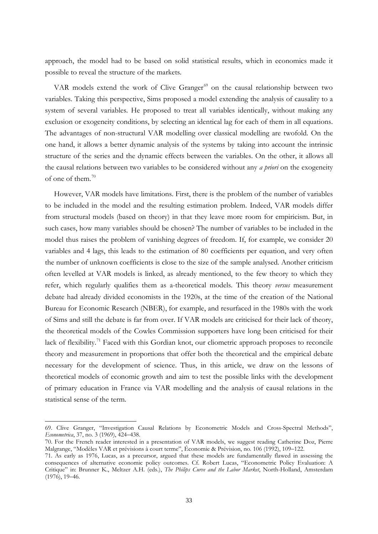approach, the model had to be based on solid statistical results, which in economics made it possible to reveal the structure of the markets.

VAR models extend the work of Clive Granger<sup>[69](#page-33-0)</sup> on the causal relationship between two variables. Taking this perspective, Sims proposed a model extending the analysis of causality to a system of several variables. He proposed to treat all variables identically, without making any exclusion or exogeneity conditions, by selecting an identical lag for each of them in all equations. The advantages of non-structural VAR modelling over classical modelling are twofold. On the one hand, it allows a better dynamic analysis of the systems by taking into account the intrinsic structure of the series and the dynamic effects between the variables. On the other, it allows all the causal relations between two variables to be considered without any *a priori* on the exogeneity of one of them. [70](#page-33-1)

However, VAR models have limitations. First, there is the problem of the number of variables to be included in the model and the resulting estimation problem. Indeed, VAR models differ from structural models (based on theory) in that they leave more room for empiricism. But, in such cases, how many variables should be chosen? The number of variables to be included in the model thus raises the problem of vanishing degrees of freedom. If, for example, we consider 20 variables and 4 lags, this leads to the estimation of 80 coefficients per equation, and very often the number of unknown coefficients is close to the size of the sample analysed. Another criticism often levelled at VAR models is linked, as already mentioned, to the few theory to which they refer, which regularly qualifies them as a-theoretical models. This theory *versus* measurement debate had already divided economists in the 1920s, at the time of the creation of the National Bureau for Economic Research (NBER), for example, and resurfaced in the 1980s with the work of Sims and still the debate is far from over. If VAR models are criticised for their lack of theory, the theoretical models of the Cowles Commission supporters have long been criticised for their lack of flexibility.<sup>[71](#page-33-2)</sup> Faced with this Gordian knot, our cliometric approach proposes to reconcile theory and measurement in proportions that offer both the theoretical and the empirical debate necessary for the development of science. Thus, in this article, we draw on the lessons of theoretical models of economic growth and aim to test the possible links with the development of primary education in France via VAR modelling and the analysis of causal relations in the statistical sense of the term.

1

<span id="page-33-0"></span><sup>69.</sup> Clive Granger, "Investigation Causal Relations by Econometric Models and Cross-Spectral Methods", *Econometrica*, 37, no. 3 (1969), 424–438.

<span id="page-33-1"></span><sup>70.</sup> For the French reader interested in a presentation of VAR models, we suggest reading Catherine Doz, Pierre Malgrange, "Modèles VAR et prévisions à court terme", Économie & Prévision, no. 106 (1992), 109–122.

<span id="page-33-2"></span><sup>71.</sup> As early as 1976, Lucas, as a precursor, argued that these models are fundamentally flawed in assessing the consequences of alternative economic policy outcomes. Cf. Robert Lucas, "Econometric Policy Evaluation: A Critique" in: Brunner K., Meltzer A.H. (eds.), *The Philips Curve and the Labor Market*, North-Holland, Amsterdam (1976), 19–46.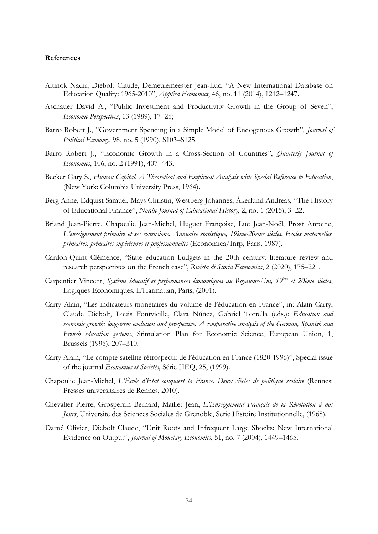#### **References**

- Altinok Nadir, Diebolt Claude, Demeulemeester Jean-Luc, "A New International Database on Education Quality: 1965-2010", *Applied Economics*, 46, no. 11 (2014), 1212–1247.
- Aschauer David A., "Public Investment and Productivity Growth in the Group of Seven", *Economic Perspectives*, 13 (1989), 17–25;
- Barro Robert J., "Government Spending in a Simple Model of Endogenous Growth"*, Journal of Political Economy*, 98, no. 5 (1990), S103–S125.
- Barro Robert J., "Economic Growth in a Cross-Section of Countries", *Quarterly Journal of Economics*, 106, no. 2 (1991), 407–443.
- Becker Gary S., *Human Capital. A Theoretical and Empirical Analysis with Special Reference to Education*, (New York: Columbia University Press, 1964).
- Berg Anne, Edquist Samuel, Mays Christin, Westberg Johannes, Åkerlund Andreas, "The History of Educational Finance", *Nordic Journal of Educational History*, 2, no. 1 (2015), 3–22.
- Briand Jean-Pierre, Chapoulie Jean-Michel, Huguet Françoise, Luc Jean-Noël, Prost Antoine, *L'enseignement primaire et ses extensions. Annuaire statistique, 19ème-20ème siècles. Écoles maternelles, primaires, primaires supérieures et professionnelles* (Economica/Inrp, Paris, 1987).
- Cardon-Quint Clémence, "State education budgets in the 20th century: literature review and research perspectives on the French case", *Rivista di Storia Economica*, 2 (2020), 175–221.
- Carpentier Vincent, *Système éducatif et performances économiques au Royaume-Uni, 19ème et 20ème siècles*, Logiques Économiques, L'Harmattan, Paris, (2001).
- Carry Alain, "Les indicateurs monétaires du volume de l'éducation en France", in: Alain Carry, Claude Diebolt, Louis Fontvieille, Clara Núñez, Gabriel Tortella (eds.): *Education and economic growth: long-term evolution and prospective. A comparative analysis of the German, Spanish and French education systems*, Stimulation Plan for Economic Science, European Union, 1, Brussels (1995), 207–310.
- Carry Alain, "Le compte satellite rétrospectif de l'éducation en France (1820-1996)", Special issue of the journal *Économies et Sociétés*, Série HEQ, 25, (1999).
- Chapoulie Jean-Michel, *L'École d'État conquiert la France. Deux siècles de politique scolaire* (Rennes: Presses universitaires de Rennes, 2010).
- Chevalier Pierre, Grosperrin Bernard, Maillet Jean, *L'Enseignement Français de la Révolution à nos Jours*, Université des Sciences Sociales de Grenoble, Série Histoire Institutionnelle, (1968).
- Darné Olivier, Diebolt Claude, "Unit Roots and Infrequent Large Shocks: New International Evidence on Output", *Journal of Monetary Economics*, 51, no. 7 (2004), 1449–1465.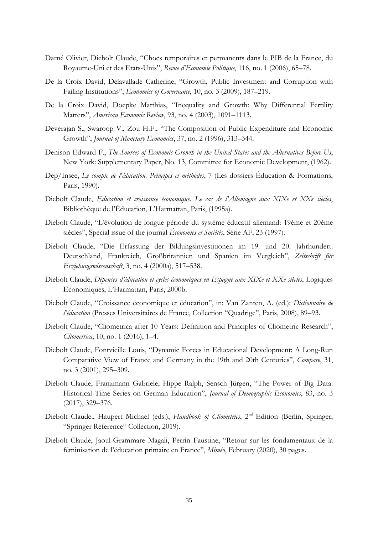- Darné Olivier, Diebolt Claude, "Chocs temporaires et permanents dans le PIB de la France, du Royaume-Uni et des Etats-Unis", *Revue d'Economie Politique*, 116, no. 1 (2006), 65–78.
- De la Croix David, Delavallade Catherine, "Growth, Public Investment and Corruption with Failing Institutions", *Economics of Governance*, 10, no. 3 (2009), 187–219.
- De la Croix David, Doepke Matthias, "Inequality and Growth: Why Differential Fertility Matters", *American Economic Review*, 93, no. 4 (2003), 1091–1113.
- Deverajan S., Swaroop V., Zou H.F., "The Composition of Public Expenditure and Economic Growth", *Journal of Monetary Economics*, 37, no. 2 (1996), 313–344.
- Denison Edward F., *The Sources of Economic Growth in the United States and the Alternatives Before Us*, New York: Supplementary Paper, No. 13, Committee for Economic Development, (1962).
- Dep/Insee, *Le compte de l'éducation. Principes et méthodes*, 7 (Les dossiers Éducation & Formations, Paris, 1990).
- Diebolt Claude, *Education et croissance économique. Le cas de l'Allemagne aux XIXe et XXe siècles*, Bibliothèque de l'Éducation, L'Harmattan, Paris, (1995a).
- Diebolt Claude, "L'évolution de longue période du système éducatif allemand: 19ème et 20ème siècles", Special issue of the journal *Économies et Sociétés*, Série AF, 23 (1997).
- Diebolt Claude, "Die Erfassung der Bildungsinvestitionen im 19. und 20. Jahrhundert. Deutschland, Frankreich, Großbritannien und Spanien im Vergleich", *Zeitschrift für Erziehungswissenschaft*, 3, no. 4 (2000a), 517–538.
- Diebolt Claude, *Dépenses d'éducation et cycles économiques en Espagne aux XIXe et XXe siècles*, Logiques Economiques, L'Harmattan, Paris, 2000b.
- Diebolt Claude, "Croissance économique et éducation", in: Van Zanten, A. (ed.): *Dictionnaire de l'éducation* (Presses Universitaires de France, Collection "Quadrige", Paris, 2008), 89–93.
- Diebolt Claude, "Cliometrica after 10 Years: Definition and Principles of Cliometric Research", *Cliometrica*, 10, no. 1 (2016), 1–4.
- Diebolt Claude, Fontvieille Louis, "Dynamic Forces in Educational Development: A Long-Run Comparative View of France and Germany in the 19th and 20th Centuries", *Compare*, 31, no. 3 (2001), 295–309.
- Diebolt Claude, Franzmann Gabriele, Hippe Ralph, Sensch Jürgen, "The Power of Big Data: Historical Time Series on German Education", *Journal of Demographic Economics*, 83, no. 3 (2017), 329–376.
- Diebolt Claude., Haupert Michael (eds.), *Handbook of Cliometrics*, 2<sup>nd</sup> Edition (Berlin, Springer, "Springer Reference" Collection, 2019).
- Diebolt Claude, Jaoul-Grammare Magali, Perrin Faustine, "Retour sur les fondamentaux de la féminisation de l'éducation primaire en France", *Miméo*, February (2020), 30 pages.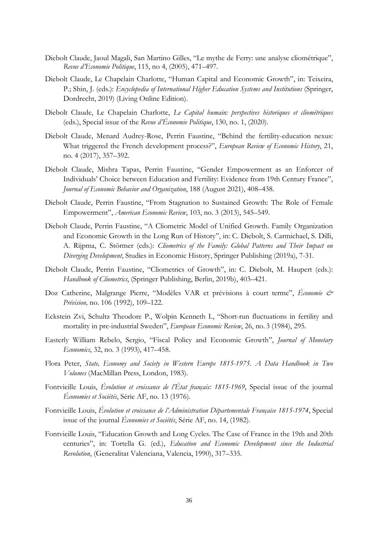- Diebolt Claude, Jaoul Magali, San Martino Gilles, "Le mythe de Ferry: une analyse cliométrique", *Revue d'Economie Politique*, 115, no 4, (2005), 471–497.
- Diebolt Claude, Le Chapelain Charlotte, "Human Capital and Economic Growth", in: Teixeira, P.; Shin, J. (eds.): *Encyclopedia of International Higher Education Systems and Institutions* (Springer, Dordrecht, 2019) (Living Online Edition).
- Diebolt Claude, Le Chapelain Charlotte, *Le Capital humain: perspectives historiques et cliométriques*  (eds.), Special issue of the *Revue d'Économie Politique*, 130, no. 1, (2020).
- Diebolt Claude, Menard Audrey-Rose, Perrin Faustine, "Behind the fertility-education nexus: What triggered the French development process?", *European Review of Economic History*, 21, no. 4 (2017), 357–392.
- Diebolt Claude, Mishra Tapas, Perrin Faustine, "Gender Empowerment as an Enforcer of Individuals' Choice between Education and Fertility: Evidence from 19th Century France", *Journal of Economic Behavior and Organization*, 188 (August 2021), 408–438.
- Diebolt Claude, Perrin Faustine, "From Stagnation to Sustained Growth: The Role of Female Empowerment", *American Economic Review*, 103, no. 3 (2013), 545–549.
- Diebolt Claude, Perrin Faustine, "A Cliometric Model of Unified Growth. Family Organization and Economic Growth in the Long Run of History", in: C. Diebolt, S. Carmichael, S. Dilli, A. Rijpma, C. Störmer (eds.): *Cliometrics of the Family: Global Patterns and Their Impact on Diverging Development*, Studies in Economic History, Springer Publishing (2019a), 7-31.
- Diebolt Claude, Perrin Faustine, "Cliometrics of Growth", in: C. Diebolt, M. Haupert (eds.): *Handbook of Cliometrics*, (Springer Publishing, Berlin, 2019b), 403–421.
- Doz Catherine, Malgrange Pierre, "Modèles VAR et prévisions à court terme", *Économie & Prévision,* no. 106 (1992), 109–122.
- Eckstein Zvi, Schultz Theodore P., Wolpin Kenneth I., "Short-run fluctuations in fertility and mortality in pre-industrial Sweden", *European Economic Review*, 26, no. 3 (1984), 295.
- Easterly William Rebelo, Sergio, "Fiscal Policy and Economic Growth", *Journal of Monetary Economics*, 32, no. 3 (1993), 417–458.
- Flora Peter, *State, Economy and Society in Western Europe 1815-1975. A Data Handbook in Two Volumes* (MacMillan Press, London, 1983).
- Fontvieille Louis, *Évolution et croissance de l'État français: 1815-1969*, Special issue of the journal *Économies et Sociétés*, Série AF, no. 13 (1976).
- Fontvieille Louis, *Évolution et croissance de l'Administration Départementale Française 1815-1974*, Special issue of the journal *Économies et Sociétés*, Série AF, no. 14, (1982).
- Fontvieille Louis, "Education Growth and Long Cycles. The Case of France in the 19th and 20th centuries", in: Tortella G. (ed.), *Education and Economic Development since the Industrial Revolution*, (Generalitat Valenciana, Valencia, 1990), 317–335.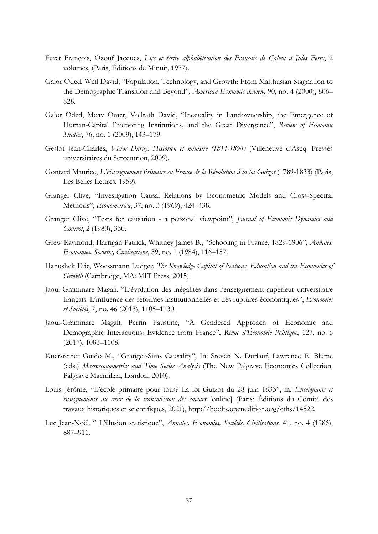- Furet François, Ozouf Jacques, *Lire et écrire alphabétisation des Français de Calvin à Jules Ferry*, 2 volumes, (Paris, Éditions de Minuit, 1977).
- Galor Oded, Weil David, "Population, Technology, and Growth: From Malthusian Stagnation to the Demographic Transition and Beyond", *American Economic Review*, 90, no. 4 (2000), 806– 828.
- Galor Oded, Moav Omer, Vollrath David, "Inequality in Landownership, the Emergence of Human-Capital Promoting Institutions, and the Great Divergence", *Review of Economic Studies*, 76, no. 1 (2009), 143–179.
- Geslot Jean-Charles, *Victor Duruy: Historien et ministre (1811-1894)* (Villeneuve d'Ascq: Presses universitaires du Septentrion, 2009).
- Gontard Maurice, *L'Enseignement Primaire en France de la Révolution à la loi Guizot* (1789-1833) (Paris, Les Belles Lettres, 1959).
- Granger Clive, "Investigation Causal Relations by Econometric Models and Cross-Spectral Methods", *Econometrica*, 37, no. 3 (1969), 424–438.
- Granger Clive, "Tests for causation a personal viewpoint", *Journal of Economic Dynamics and Control*, 2 (1980), 330.
- Grew Raymond, Harrigan Patrick, Whitney James B., "Schooling in France, 1829-1906", *Annales. Économies, Sociétés, Civilisations*, 39, no. 1 (1984), 116–157.
- Hanushek Eric, Woessmann Ludger, *The Knowledge Capital of Nations. Education and the Economics of Growth* (Cambridge, MA: MIT Press, 2015).
- Jaoul-Grammare Magali, "L'évolution des inégalités dans l'enseignement supérieur universitaire français. L'influence des réformes institutionnelles et des ruptures économiques", *Économies et Sociétés*, 7, no. 46 (2013), 1105–1130.
- Jaoul-Grammare Magali, Perrin Faustine, "A Gendered Approach of Economic and Demographic Interactions: Evidence from France", *Revue d'Économie Politique*, 127, no. 6 (2017), 1083–1108.
- Kuersteiner Guido M., "Granger-Sims Causality", In: Steven N. Durlauf, Lawrence E. Blume (eds.) *Macroeconometrics and Time Series Analysis* (The New Palgrave Economics Collection. Palgrave Macmillan, London, 2010).
- Louis Jérôme, "L'école primaire pour tous? La loi Guizot du 28 juin 1833", in: *Enseignants et enseignements au cœur de la transmission des savoirs* [online] (Paris: Éditions du Comité des travaux historiques et scientifiques, 2021), http://books.openedition.org/cths/14522.
- Luc Jean-Noël, " L'illusion statistique", *Annales. Économies, Sociétés, Civilisations,* 41, no. 4 (1986), 887–911.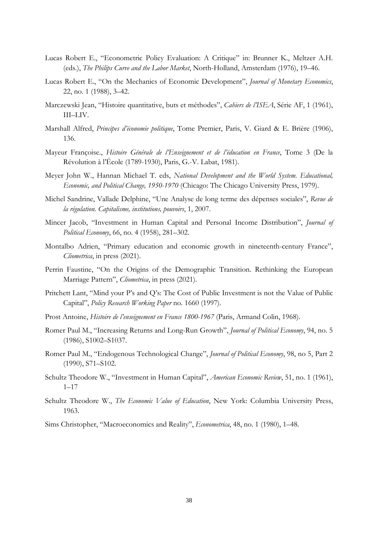- Lucas Robert E., "Econometric Policy Evaluation: A Critique" in: Brunner K., Meltzer A.H. (eds.), *The Philips Curve and the Labor Market*, North-Holland, Amsterdam (1976), 19–46.
- Lucas Robert E., "On the Mechanics of Economic Development", *Journal of Monetary Economics*, 22, no. 1 (1988), 3–42.
- Marczewski Jean, "Histoire quantitative, buts et méthodes", *Cahiers de l'ISEA*, Série AF, 1 (1961), III–LIV.
- Marshall Alfred, *Principes d'économie politique*, Tome Premier, Paris, V. Giard & E. Brière (1906), 136.
- Mayeur Françoise., *Histoire Générale de l'Enseignement et de l'éducation en France*, Tome 3 (De la Révolution à l'École (1789-1930), Paris, G.-V. Labat, 1981).
- Meyer John W., Hannan Michael T. eds, *National Development and the World System. Educational, Economic, and Political Change, 1950-1970* (Chicago: The Chicago University Press, 1979).
- Michel Sandrine, Vallade Delphine, "Une Analyse de long terme des dépenses sociales", *Revue de la régulation. Capitalisme, institutions, pouvoirs*, 1, 2007.
- Mincer Jacob, "Investment in Human Capital and Personal Income Distribution", *Journal of Political Economy*, 66, no. 4 (1958), 281–302.
- Montalbo Adrien, "Primary education and economic growth in nineteenth-century France", *Cliometrica*, in press (2021).
- Perrin Faustine, "On the Origins of the Demographic Transition. Rethinking the European Marriage Pattern", *Cliometrica*, in press (2021).
- Pritchett Lant, "Mind your P's and Q's: The Cost of Public Investment is not the Value of Public Capital", *Policy Research Working Paper* no. 1660 (1997).
- Prost Antoine, *Histoire de l'enseignement en France 1800-1967* (Paris, Armand Colin, 1968).
- Romer Paul M., "Increasing Returns and Long-Run Growth", *Journal of Political Economy*, 94, no. 5 (1986), S1002–S1037.
- Romer Paul M., "Endogenous Technological Change", *Journal of Political Economy*, 98, no 5, Part 2 (1990), S71–S102.
- Schultz Theodore W., "Investment in Human Capital", *American Economic Review*, 51, no. 1 (1961),  $1 - 17$
- Schultz Theodore W., *The Economic Value of Education*, New York: Columbia University Press, 1963.
- Sims Christopher, "Macroeconomics and Reality", *Econometrica*, 48, no. 1 (1980), 1–48.